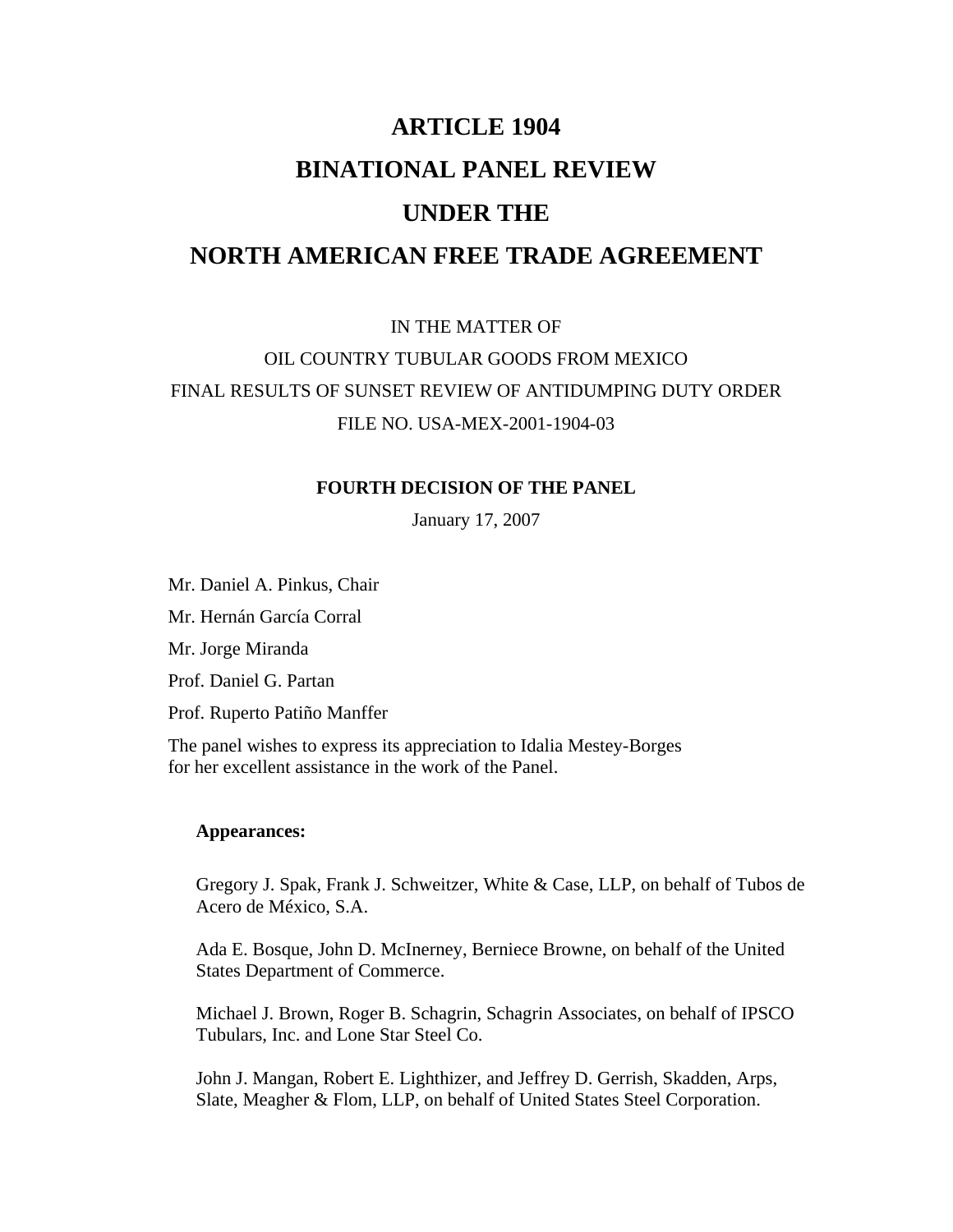# **ARTICLE 1904 BINATIONAL PANEL REVIEW UNDER THE NORTH AMERICAN FREE TRADE AGREEMENT**

IN THE MATTER OF OIL COUNTRY TUBULAR GOODS FROM MEXICO FINAL RESULTS OF SUNSET REVIEW OF ANTIDUMPING DUTY ORDER FILE NO. USA-MEX-2001-1904-03

#### **FOURTH DECISION OF THE PANEL**

January 17, 2007

Mr. Daniel A. Pinkus, Chair

Mr. Hernán García Corral

Mr. Jorge Miranda

Prof. Daniel G. Partan

Prof. Ruperto Patiño Manffer

The panel wishes to express its appreciation to Idalia Mestey-Borges for her excellent assistance in the work of the Panel.

#### **Appearances:**

 Gregory J. Spak, Frank J. Schweitzer, White & Case, LLP, on behalf of Tubos de Acero de México, S.A.

 Ada E. Bosque, John D. McInerney, Berniece Browne, on behalf of the United States Department of Commerce.

 Michael J. Brown, Roger B. Schagrin, Schagrin Associates, on behalf of IPSCO Tubulars, Inc. and Lone Star Steel Co.

 John J. Mangan, Robert E. Lighthizer, and Jeffrey D. Gerrish, Skadden, Arps, Slate, Meagher & Flom, LLP, on behalf of United States Steel Corporation.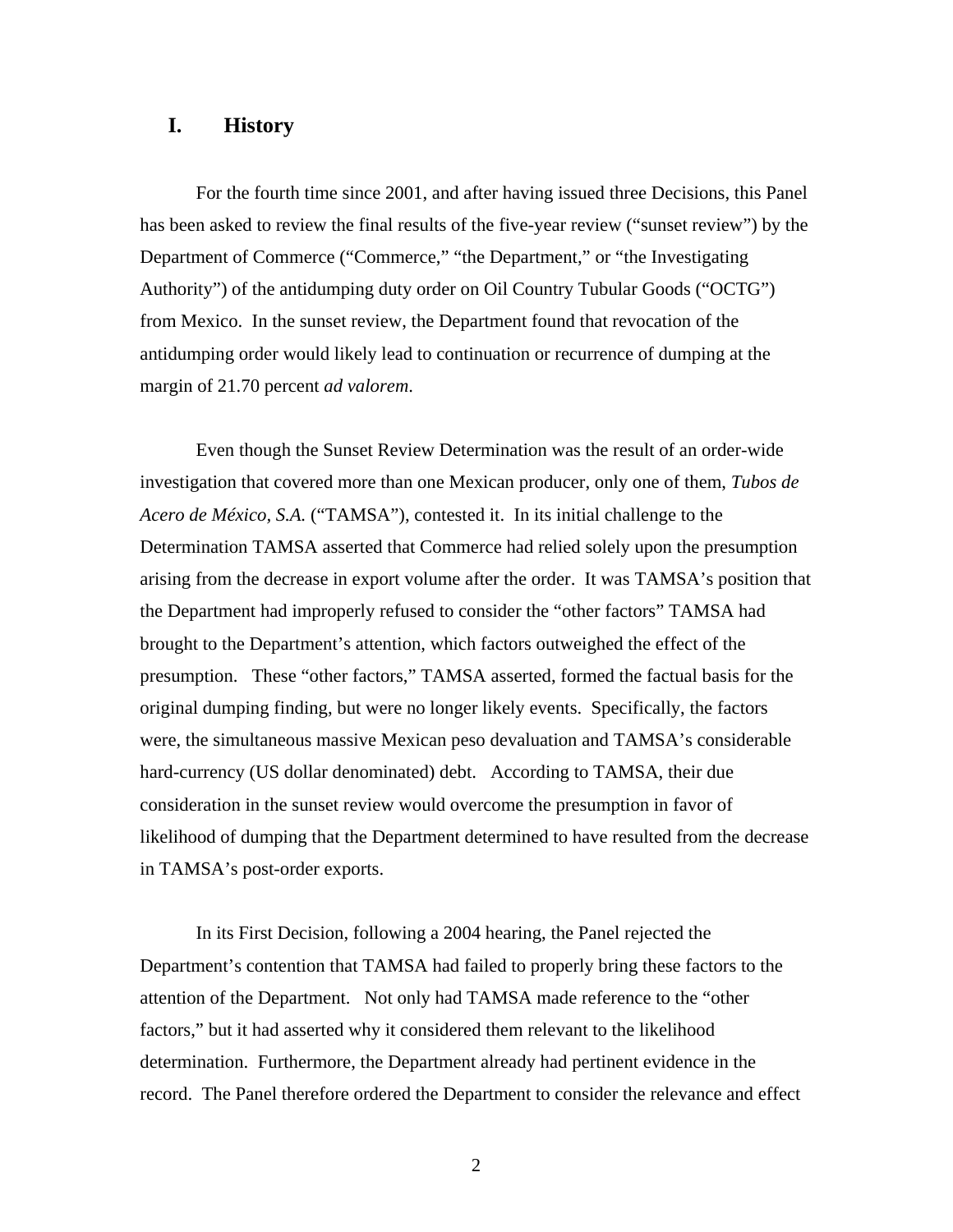#### **I. History**

 For the fourth time since 2001, and after having issued three Decisions, this Panel has been asked to review the final results of the five-year review ("sunset review") by the Department of Commerce ("Commerce," "the Department," or "the Investigating Authority") of the antidumping duty order on Oil Country Tubular Goods ("OCTG") from Mexico. In the sunset review, the Department found that revocation of the antidumping order would likely lead to continuation or recurrence of dumping at the margin of 21.70 percent *ad valorem*.

 Even though the Sunset Review Determination was the result of an order-wide investigation that covered more than one Mexican producer, only one of them, *Tubos de Acero de México, S.A.* ("TAMSA"), contested it. In its initial challenge to the Determination TAMSA asserted that Commerce had relied solely upon the presumption arising from the decrease in export volume after the order. It was TAMSA's position that the Department had improperly refused to consider the "other factors" TAMSA had brought to the Department's attention, which factors outweighed the effect of the presumption. These "other factors," TAMSA asserted, formed the factual basis for the original dumping finding, but were no longer likely events. Specifically, the factors were, the simultaneous massive Mexican peso devaluation and TAMSA's considerable hard-currency (US dollar denominated) debt. According to TAMSA, their due consideration in the sunset review would overcome the presumption in favor of likelihood of dumping that the Department determined to have resulted from the decrease in TAMSA's post-order exports.

 In its First Decision, following a 2004 hearing, the Panel rejected the Department's contention that TAMSA had failed to properly bring these factors to the attention of the Department. Not only had TAMSA made reference to the "other factors," but it had asserted why it considered them relevant to the likelihood determination. Furthermore, the Department already had pertinent evidence in the record. The Panel therefore ordered the Department to consider the relevance and effect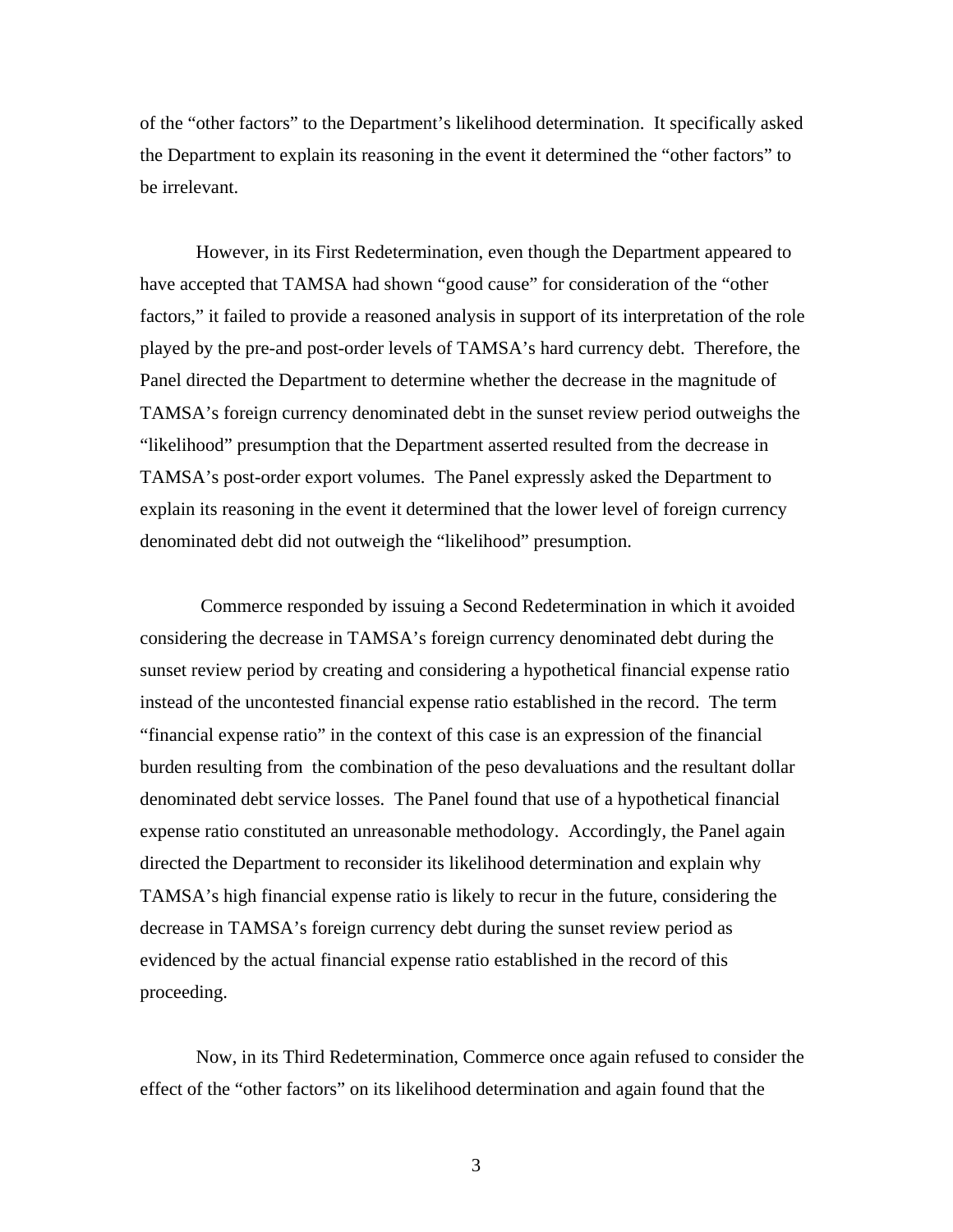of the "other factors" to the Department's likelihood determination. It specifically asked the Department to explain its reasoning in the event it determined the "other factors" to be irrelevant.

 However, in its First Redetermination, even though the Department appeared to have accepted that TAMSA had shown "good cause" for consideration of the "other factors," it failed to provide a reasoned analysis in support of its interpretation of the role played by the pre-and post-order levels of TAMSA's hard currency debt. Therefore, the Panel directed the Department to determine whether the decrease in the magnitude of TAMSA's foreign currency denominated debt in the sunset review period outweighs the "likelihood" presumption that the Department asserted resulted from the decrease in TAMSA's post-order export volumes. The Panel expressly asked the Department to explain its reasoning in the event it determined that the lower level of foreign currency denominated debt did not outweigh the "likelihood" presumption.

 Commerce responded by issuing a Second Redetermination in which it avoided considering the decrease in TAMSA's foreign currency denominated debt during the sunset review period by creating and considering a hypothetical financial expense ratio instead of the uncontested financial expense ratio established in the record. The term "financial expense ratio" in the context of this case is an expression of the financial burden resulting from the combination of the peso devaluations and the resultant dollar denominated debt service losses. The Panel found that use of a hypothetical financial expense ratio constituted an unreasonable methodology. Accordingly, the Panel again directed the Department to reconsider its likelihood determination and explain why TAMSA's high financial expense ratio is likely to recur in the future, considering the decrease in TAMSA's foreign currency debt during the sunset review period as evidenced by the actual financial expense ratio established in the record of this proceeding.

 Now, in its Third Redetermination, Commerce once again refused to consider the effect of the "other factors" on its likelihood determination and again found that the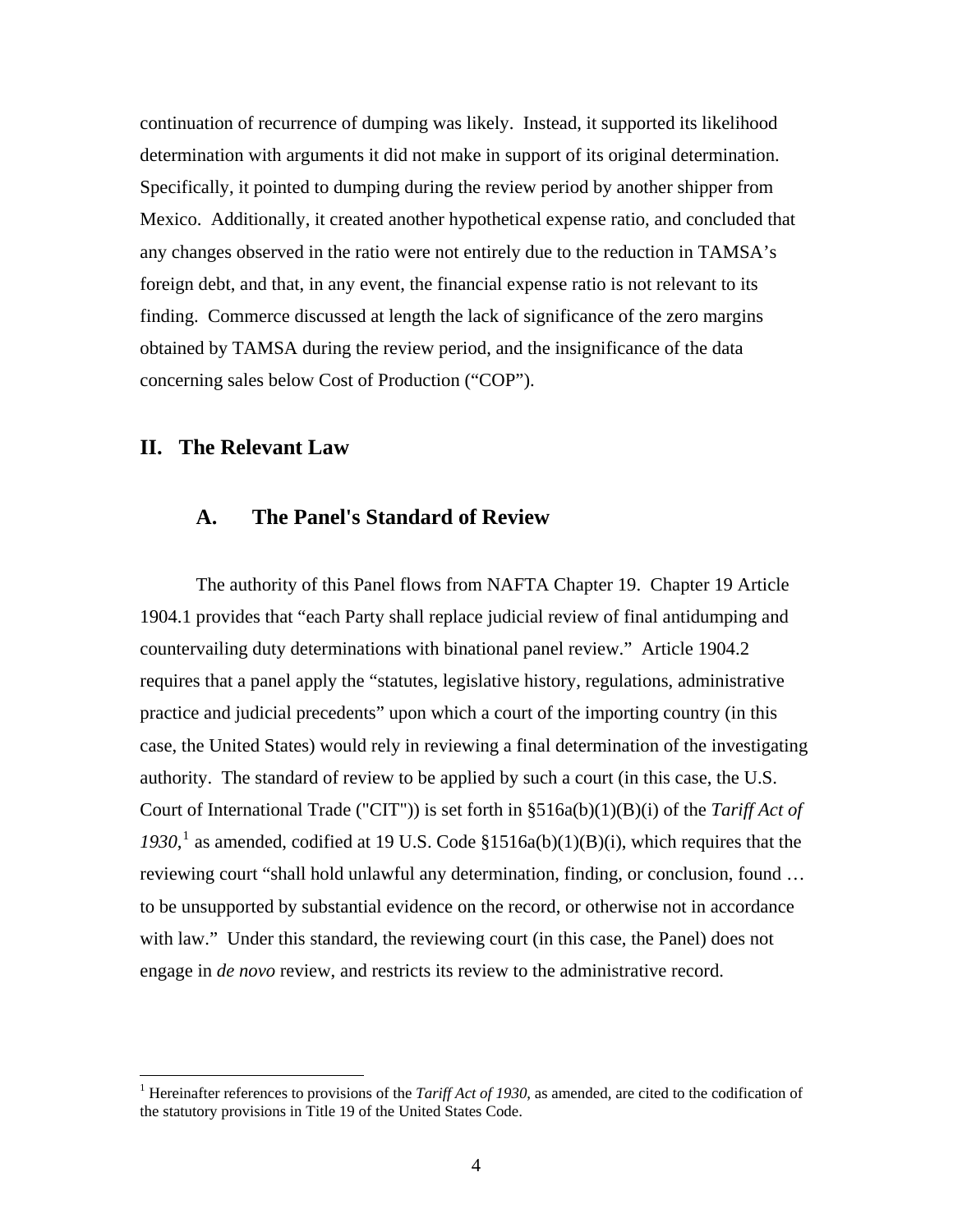continuation of recurrence of dumping was likely. Instead, it supported its likelihood determination with arguments it did not make in support of its original determination. Specifically, it pointed to dumping during the review period by another shipper from Mexico. Additionally, it created another hypothetical expense ratio, and concluded that any changes observed in the ratio were not entirely due to the reduction in TAMSA's foreign debt, and that, in any event, the financial expense ratio is not relevant to its finding. Commerce discussed at length the lack of significance of the zero margins obtained by TAMSA during the review period, and the insignificance of the data concerning sales below Cost of Production ("COP").

# **II. The Relevant Law**

 $\overline{a}$ 

### **A. The Panel's Standard of Review**

 The authority of this Panel flows from NAFTA Chapter 19. Chapter 19 Article 1904.1 provides that "each Party shall replace judicial review of final antidumping and countervailing duty determinations with binational panel review." Article 1904.2 requires that a panel apply the "statutes, legislative history, regulations, administrative practice and judicial precedents" upon which a court of the importing country (in this case, the United States) would rely in reviewing a final determination of the investigating authority. The standard of review to be applied by such a court (in this case, the U.S. Court of International Trade ("CIT")) is set forth in §516a(b)(1)(B)(i) of the *Tariff Act of*  [1](#page-3-0)930,<sup>1</sup> as amended, codified at 19 U.S. Code  $$1516a(b)(1)(B)(i)$ , which requires that the reviewing court "shall hold unlawful any determination, finding, or conclusion, found … to be unsupported by substantial evidence on the record, or otherwise not in accordance with law." Under this standard, the reviewing court (in this case, the Panel) does not engage in *de novo* review, and restricts its review to the administrative record.

<span id="page-3-0"></span><sup>&</sup>lt;sup>1</sup> Hereinafter references to provisions of the *Tariff Act of 1930*, as amended, are cited to the codification of the statutory provisions in Title 19 of the United States Code.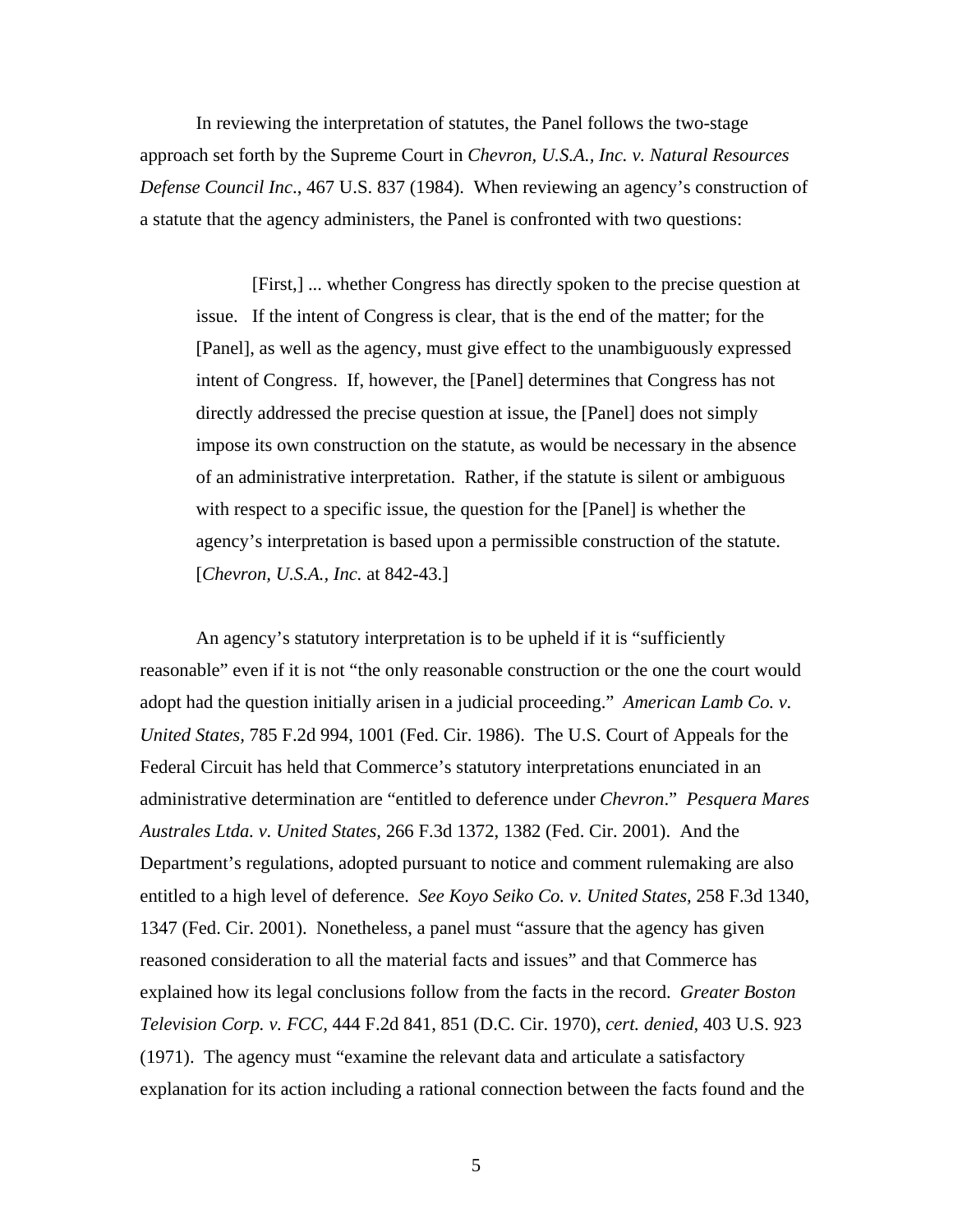In reviewing the interpretation of statutes, the Panel follows the two-stage approach set forth by the Supreme Court in *Chevron, U.S.A., Inc. v. Natural Resources Defense Council Inc*., 467 U.S. 837 (1984). When reviewing an agency's construction of a statute that the agency administers, the Panel is confronted with two questions:

 [First,] ... whether Congress has directly spoken to the precise question at issue. If the intent of Congress is clear, that is the end of the matter; for the [Panel], as well as the agency, must give effect to the unambiguously expressed intent of Congress. If, however, the [Panel] determines that Congress has not directly addressed the precise question at issue, the [Panel] does not simply impose its own construction on the statute, as would be necessary in the absence of an administrative interpretation. Rather, if the statute is silent or ambiguous with respect to a specific issue, the question for the [Panel] is whether the agency's interpretation is based upon a permissible construction of the statute. [*Chevron, U.S.A., Inc.* at 842-43.]

 An agency's statutory interpretation is to be upheld if it is "sufficiently reasonable" even if it is not "the only reasonable construction or the one the court would adopt had the question initially arisen in a judicial proceeding." *American Lamb Co. v. United States,* 785 F.2d 994, 1001 (Fed. Cir. 1986). The U.S. Court of Appeals for the Federal Circuit has held that Commerce's statutory interpretations enunciated in an administrative determination are "entitled to deference under *Chevron*." *Pesquera Mares Australes Ltda. v. United States,* 266 F.3d 1372, 1382 (Fed. Cir. 2001). And the Department's regulations, adopted pursuant to notice and comment rulemaking are also entitled to a high level of deference. *See Koyo Seiko Co. v. United States,* 258 F.3d 1340, 1347 (Fed. Cir. 2001). Nonetheless, a panel must "assure that the agency has given reasoned consideration to all the material facts and issues" and that Commerce has explained how its legal conclusions follow from the facts in the record. *Greater Boston Television Corp. v. FCC,* 444 F.2d 841, 851 (D.C. Cir. 1970), *cert. denied*, 403 U.S. 923 (1971). The agency must "examine the relevant data and articulate a satisfactory explanation for its action including a rational connection between the facts found and the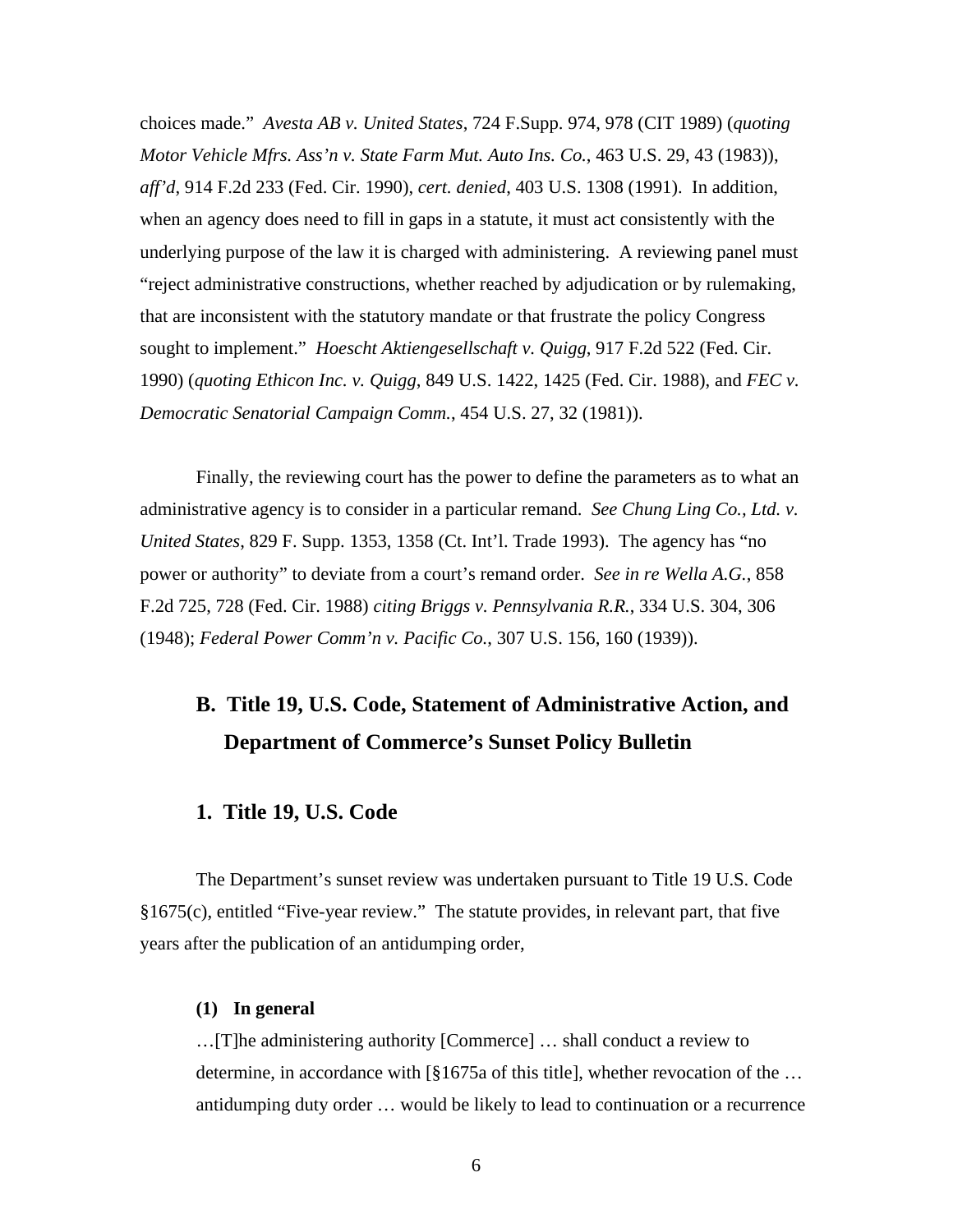choices made." *Avesta AB v. United States*, 724 F.Supp. 974, 978 (CIT 1989) (*quoting Motor Vehicle Mfrs. Ass'n v. State Farm Mut. Auto Ins. Co.*, 463 U.S. 29, 43 (1983)), *aff'd*, 914 F.2d 233 (Fed. Cir. 1990), *cert. denied*, 403 U.S. 1308 (1991). In addition, when an agency does need to fill in gaps in a statute, it must act consistently with the underlying purpose of the law it is charged with administering. A reviewing panel must "reject administrative constructions, whether reached by adjudication or by rulemaking, that are inconsistent with the statutory mandate or that frustrate the policy Congress sought to implement." *Hoescht Aktiengesellschaft v. Quigg*, 917 F.2d 522 (Fed. Cir. 1990) (*quoting Ethicon Inc. v. Quigg*, 849 U.S. 1422, 1425 (Fed. Cir. 1988), and *FEC v. Democratic Senatorial Campaign Comm.*, 454 U.S. 27, 32 (1981)).

Finally, the reviewing court has the power to define the parameters as to what an administrative agency is to consider in a particular remand. *See Chung Ling Co., Ltd. v. United States*, 829 F. Supp. 1353, 1358 (Ct. Int'l. Trade 1993). The agency has "no power or authority" to deviate from a court's remand order. *See in re Wella A.G.*, 858 F.2d 725, 728 (Fed. Cir. 1988) *citing Briggs v. Pennsylvania R.R.*, 334 U.S. 304, 306 (1948); *Federal Power Comm'n v. Pacific Co.*, 307 U.S. 156, 160 (1939)).

# **B. Title 19, U.S. Code, Statement of Administrative Action, and Department of Commerce's Sunset Policy Bulletin**

#### **1. Title 19, U.S. Code**

The Department's sunset review was undertaken pursuant to Title 19 U.S. Code §1675(c), entitled "Five-year review." The statute provides, in relevant part, that five years after the publication of an antidumping order,

#### **(1) In general**

…[T]he administering authority [Commerce] … shall conduct a review to determine, in accordance with  $\lceil \frac{8}{6} \rceil$  of this title], whether revocation of the ... antidumping duty order … would be likely to lead to continuation or a recurrence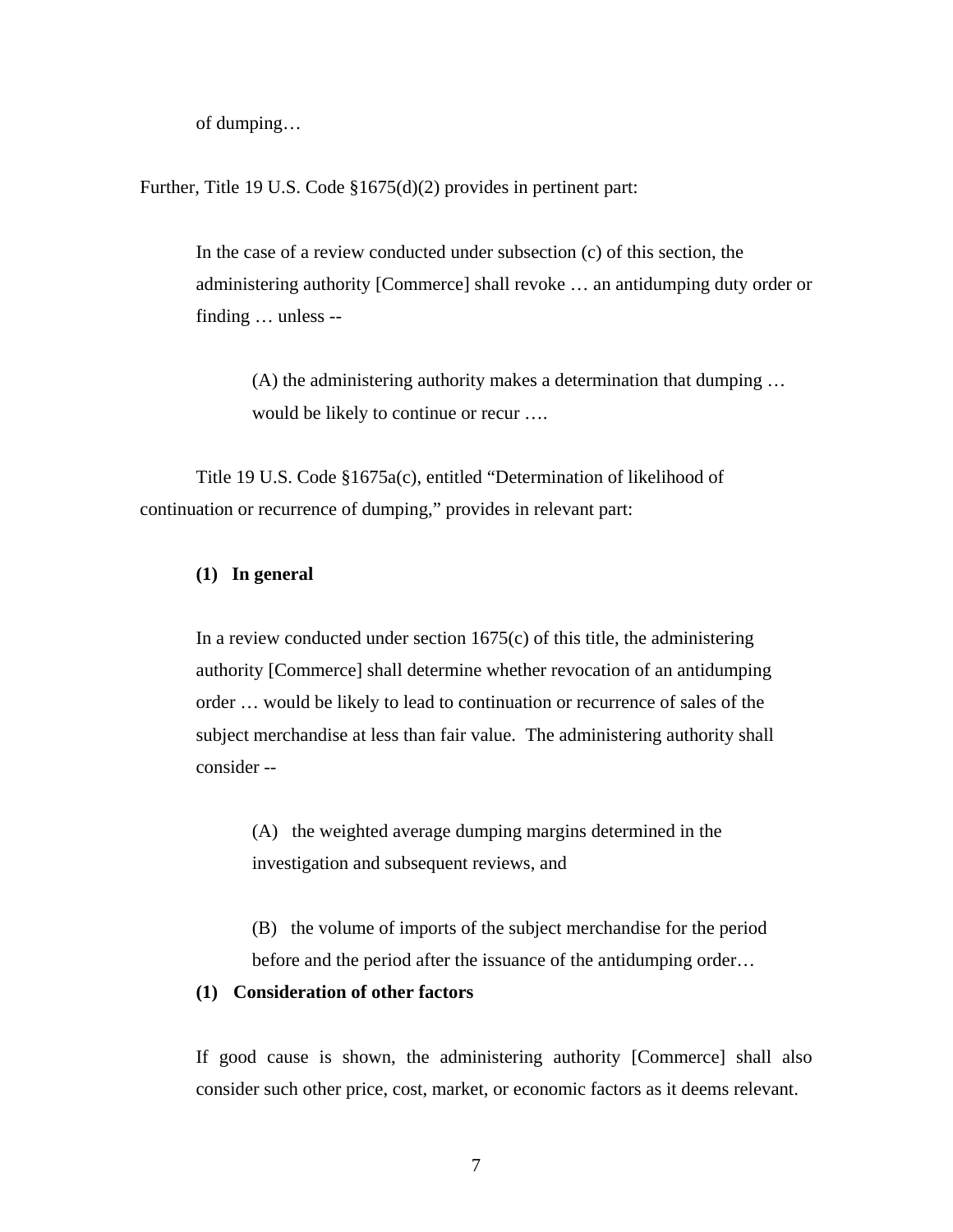of dumping…

Further, Title 19 U.S. Code §1675(d)(2) provides in pertinent part:

In the case of a review conducted under subsection (c) of this section, the administering authority [Commerce] shall revoke … an antidumping duty order or finding … unless --

 (A) the administering authority makes a determination that dumping … would be likely to continue or recur ….

 Title 19 U.S. Code §1675a(c), entitled "Determination of likelihood of continuation or recurrence of dumping," provides in relevant part:

#### **(1) In general**

In a review conducted under section  $1675(c)$  of this title, the administering authority [Commerce] shall determine whether revocation of an antidumping order … would be likely to lead to continuation or recurrence of sales of the subject merchandise at less than fair value. The administering authority shall consider --

 (A) the weighted average dumping margins determined in the investigation and subsequent reviews, and

(B) the volume of imports of the subject merchandise for the period before and the period after the issuance of the antidumping order…

#### **(1) Consideration of other factors**

If good cause is shown, the administering authority [Commerce] shall also consider such other price, cost, market, or economic factors as it deems relevant.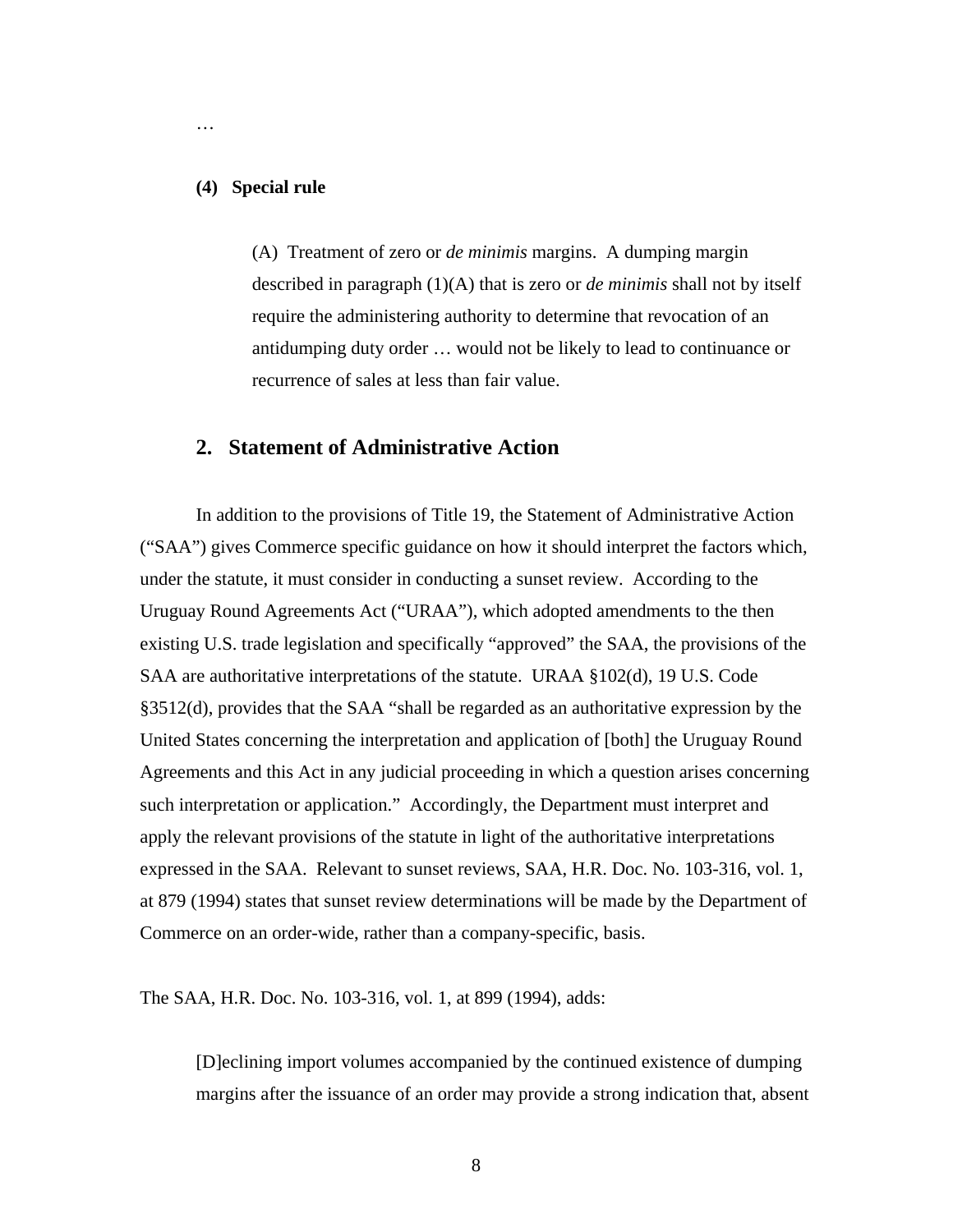#### **(4) Special rule**

…

(A) Treatment of zero or *de minimis* margins. A dumping margin described in paragraph (1)(A) that is zero or *de minimis* shall not by itself require the administering authority to determine that revocation of an antidumping duty order … would not be likely to lead to continuance or recurrence of sales at less than fair value.

### **2. Statement of Administrative Action**

 In addition to the provisions of Title 19, the Statement of Administrative Action ("SAA") gives Commerce specific guidance on how it should interpret the factors which, under the statute, it must consider in conducting a sunset review. According to the Uruguay Round Agreements Act ("URAA"), which adopted amendments to the then existing U.S. trade legislation and specifically "approved" the SAA, the provisions of the SAA are authoritative interpretations of the statute. URAA §102(d), 19 U.S. Code §3512(d), provides that the SAA "shall be regarded as an authoritative expression by the United States concerning the interpretation and application of [both] the Uruguay Round Agreements and this Act in any judicial proceeding in which a question arises concerning such interpretation or application." Accordingly, the Department must interpret and apply the relevant provisions of the statute in light of the authoritative interpretations expressed in the SAA. Relevant to sunset reviews, SAA, H.R. Doc. No. 103-316, vol. 1, at 879 (1994) states that sunset review determinations will be made by the Department of Commerce on an order-wide, rather than a company-specific, basis.

The SAA, H.R. Doc. No. 103-316, vol. 1, at 899 (1994), adds:

[D]eclining import volumes accompanied by the continued existence of dumping margins after the issuance of an order may provide a strong indication that, absent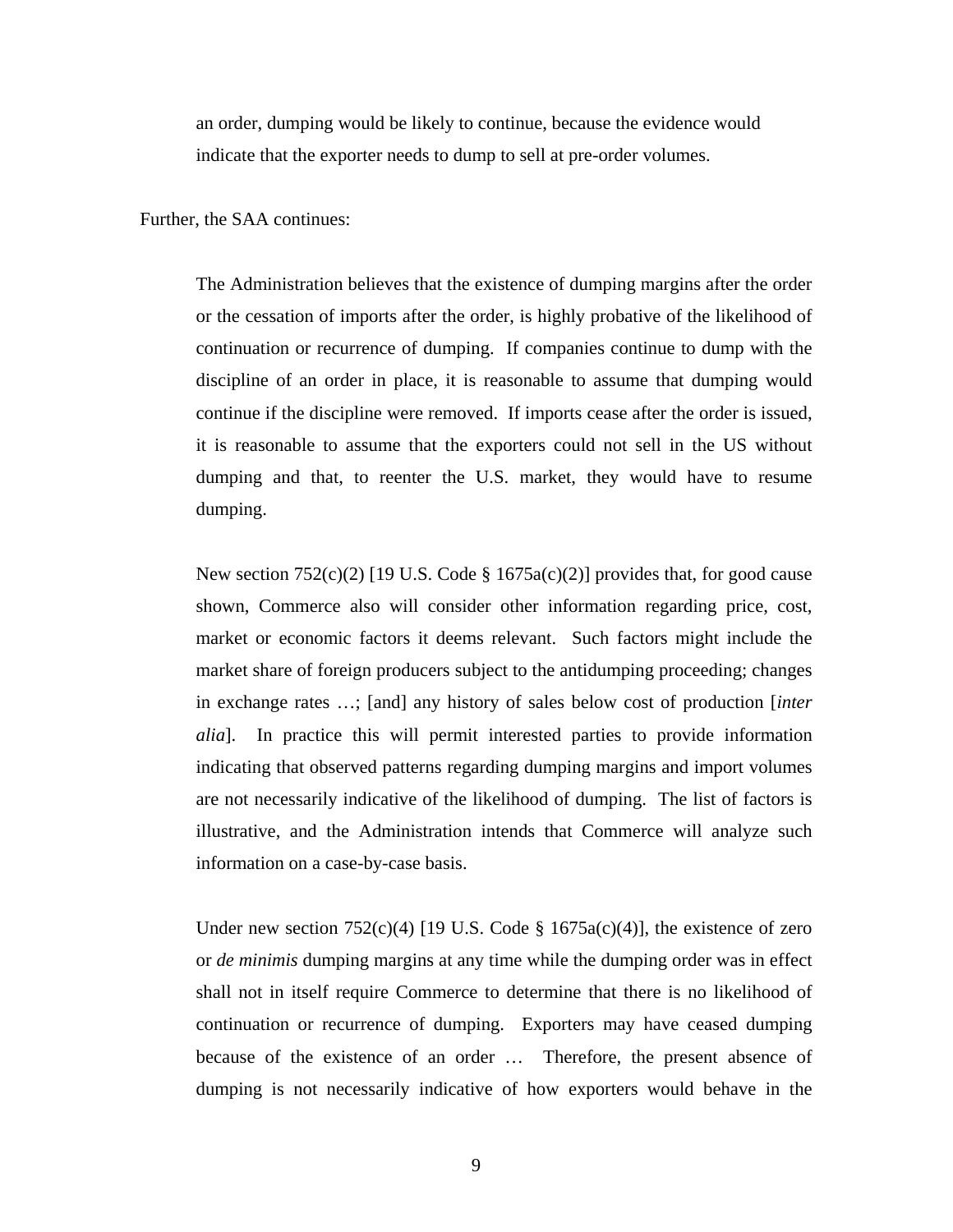an order, dumping would be likely to continue, because the evidence would indicate that the exporter needs to dump to sell at pre-order volumes.

Further, the SAA continues:

The Administration believes that the existence of dumping margins after the order or the cessation of imports after the order, is highly probative of the likelihood of continuation or recurrence of dumping. If companies continue to dump with the discipline of an order in place, it is reasonable to assume that dumping would continue if the discipline were removed. If imports cease after the order is issued, it is reasonable to assume that the exporters could not sell in the US without dumping and that, to reenter the U.S. market, they would have to resume dumping.

New section  $752(c)(2)$  [19 U.S. Code § 1675a(c)(2)] provides that, for good cause shown, Commerce also will consider other information regarding price, cost, market or economic factors it deems relevant. Such factors might include the market share of foreign producers subject to the antidumping proceeding; changes in exchange rates …; [and] any history of sales below cost of production [*inter alia*]. In practice this will permit interested parties to provide information indicating that observed patterns regarding dumping margins and import volumes are not necessarily indicative of the likelihood of dumping. The list of factors is illustrative, and the Administration intends that Commerce will analyze such information on a case-by-case basis.

Under new section  $752(c)(4)$  [19 U.S. Code § 1675a(c)(4)], the existence of zero or *de minimis* dumping margins at any time while the dumping order was in effect shall not in itself require Commerce to determine that there is no likelihood of continuation or recurrence of dumping. Exporters may have ceased dumping because of the existence of an order … Therefore, the present absence of dumping is not necessarily indicative of how exporters would behave in the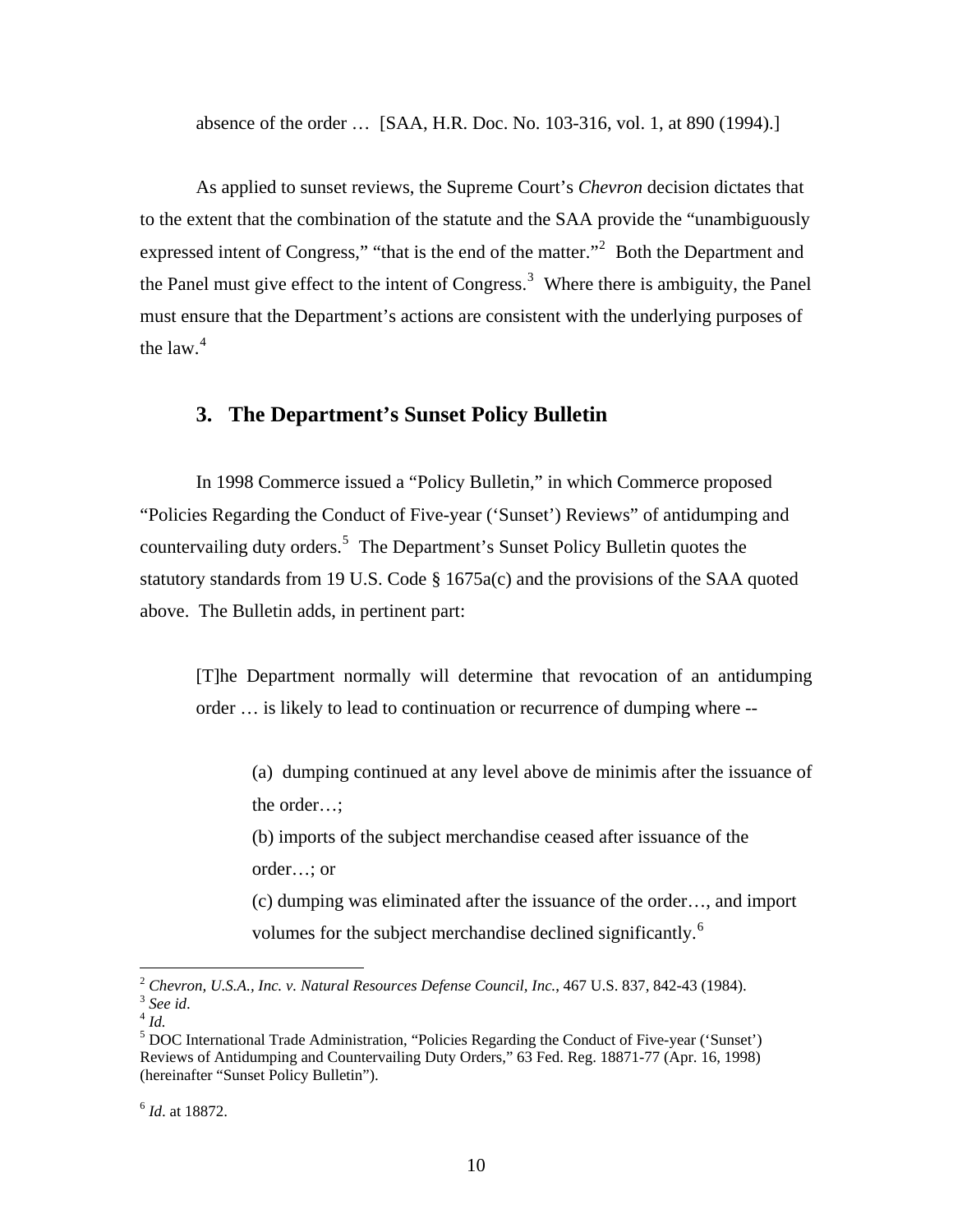absence of the order … [SAA, H.R. Doc. No. 103-316, vol. 1, at 890 (1994).]

 As applied to sunset reviews, the Supreme Court's *Chevron* decision dictates that to the extent that the combination of the statute and the SAA provide the "unambiguously expressed intent of Congress," "that is the end of the matter."<sup>[2](#page-9-0)</sup> Both the Department and the Panel must give effect to the intent of Congress.<sup>[3](#page-9-1)</sup> Where there is ambiguity, the Panel must ensure that the Department's actions are consistent with the underlying purposes of the law. $4$ 

# **3. The Department's Sunset Policy Bulletin**

In 1998 Commerce issued a "Policy Bulletin," in which Commerce proposed "Policies Regarding the Conduct of Five-year ('Sunset') Reviews" of antidumping and countervailing duty orders.<sup>[5](#page-9-3)</sup> The Department's Sunset Policy Bulletin quotes the statutory standards from 19 U.S. Code § 1675a(c) and the provisions of the SAA quoted above. The Bulletin adds, in pertinent part:

[T]he Department normally will determine that revocation of an antidumping order … is likely to lead to continuation or recurrence of dumping where --

 (a) dumping continued at any level above de minimis after the issuance of the order…;

 (b) imports of the subject merchandise ceased after issuance of the order…; or

 (c) dumping was eliminated after the issuance of the order…, and import volumes for the subject merchandise declined significantly.<sup>[6](#page-9-4)</sup>

<span id="page-9-0"></span><sup>&</sup>lt;sup>2</sup> Chevron, U.S.A., Inc. v. Natural Resources Defense Council, Inc., 467 U.S. 837, 842-43 (1984).<br><sup>3</sup> See id.<br><sup>4</sup> Id.

<span id="page-9-2"></span><span id="page-9-1"></span>

<span id="page-9-3"></span><sup>&</sup>lt;sup>5</sup> DOC International Trade Administration, "Policies Regarding the Conduct of Five-year ('Sunset') Reviews of Antidumping and Countervailing Duty Orders," 63 Fed. Reg. 18871-77 (Apr. 16, 1998) (hereinafter "Sunset Policy Bulletin").

<span id="page-9-4"></span><sup>6</sup> *Id*. at 18872.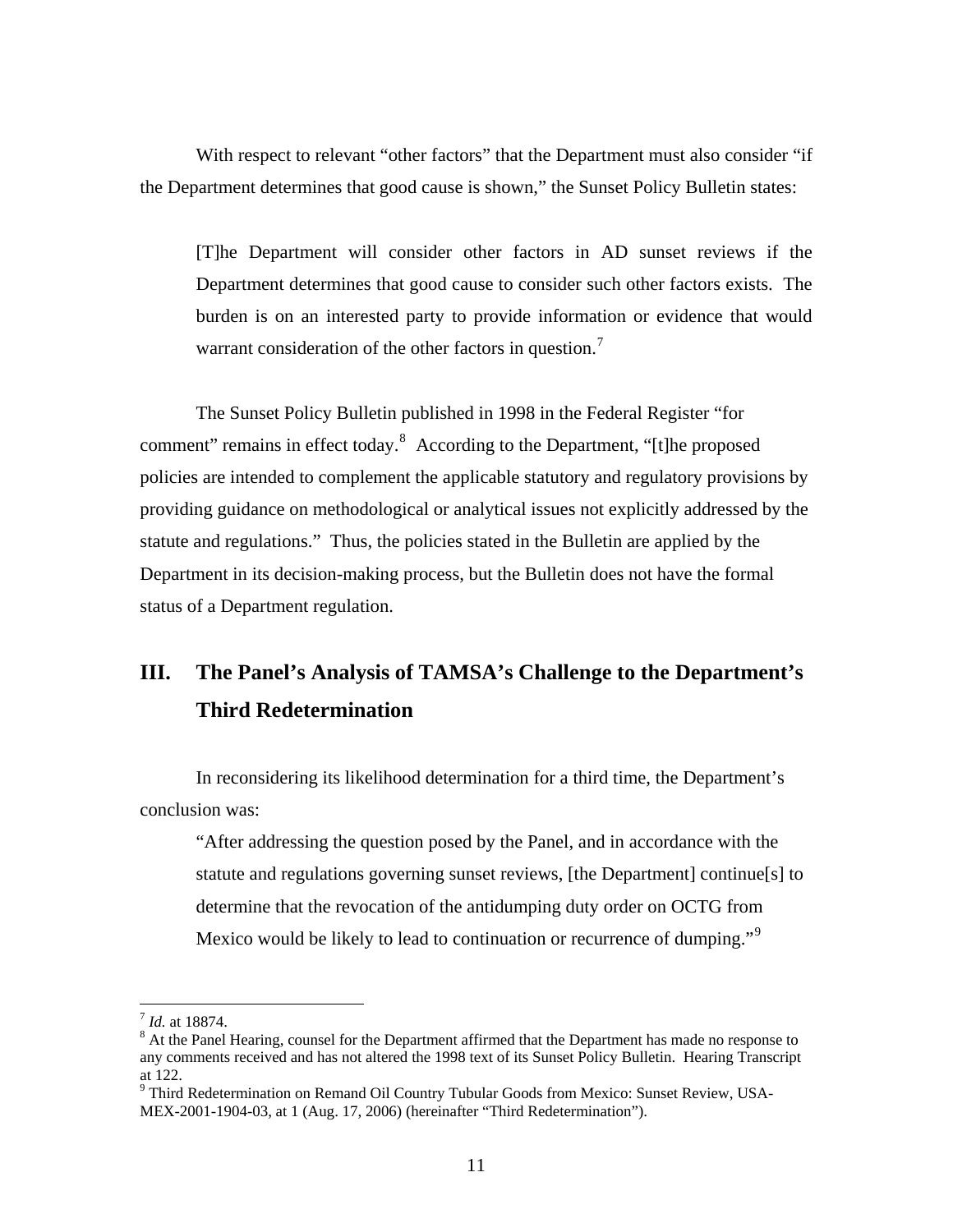With respect to relevant "other factors" that the Department must also consider "if the Department determines that good cause is shown," the Sunset Policy Bulletin states:

[T]he Department will consider other factors in AD sunset reviews if the Department determines that good cause to consider such other factors exists. The burden is on an interested party to provide information or evidence that would warrant consideration of the other factors in question.<sup>[7](#page-10-0)</sup>

The Sunset Policy Bulletin published in 1998 in the Federal Register "for comment" remains in effect today. $8$  According to the Department, "[t]he proposed policies are intended to complement the applicable statutory and regulatory provisions by providing guidance on methodological or analytical issues not explicitly addressed by the statute and regulations." Thus, the policies stated in the Bulletin are applied by the Department in its decision-making process, but the Bulletin does not have the formal status of a Department regulation.

# **III. The Panel's Analysis of TAMSA's Challenge to the Department's Third Redetermination**

In reconsidering its likelihood determination for a third time, the Department's conclusion was:

"After addressing the question posed by the Panel, and in accordance with the statute and regulations governing sunset reviews, [the Department] continue[s] to determine that the revocation of the antidumping duty order on OCTG from Mexico would be likely to lead to continuation or recurrence of dumping."<sup>[9](#page-10-2)</sup>

<span id="page-10-0"></span><sup>&</sup>lt;sup>7</sup> *Id.* at 18874.

<span id="page-10-1"></span><sup>&</sup>lt;sup>8</sup> At the Panel Hearing, counsel for the Department affirmed that the Department has made no response to any comments received and has not altered the 1998 text of its Sunset Policy Bulletin. Hearing Transcript at 122.

<span id="page-10-2"></span><sup>&</sup>lt;sup>9</sup> Third Redetermination on Remand Oil Country Tubular Goods from Mexico: Sunset Review, USA-MEX-2001-1904-03, at 1 (Aug. 17, 2006) (hereinafter "Third Redetermination").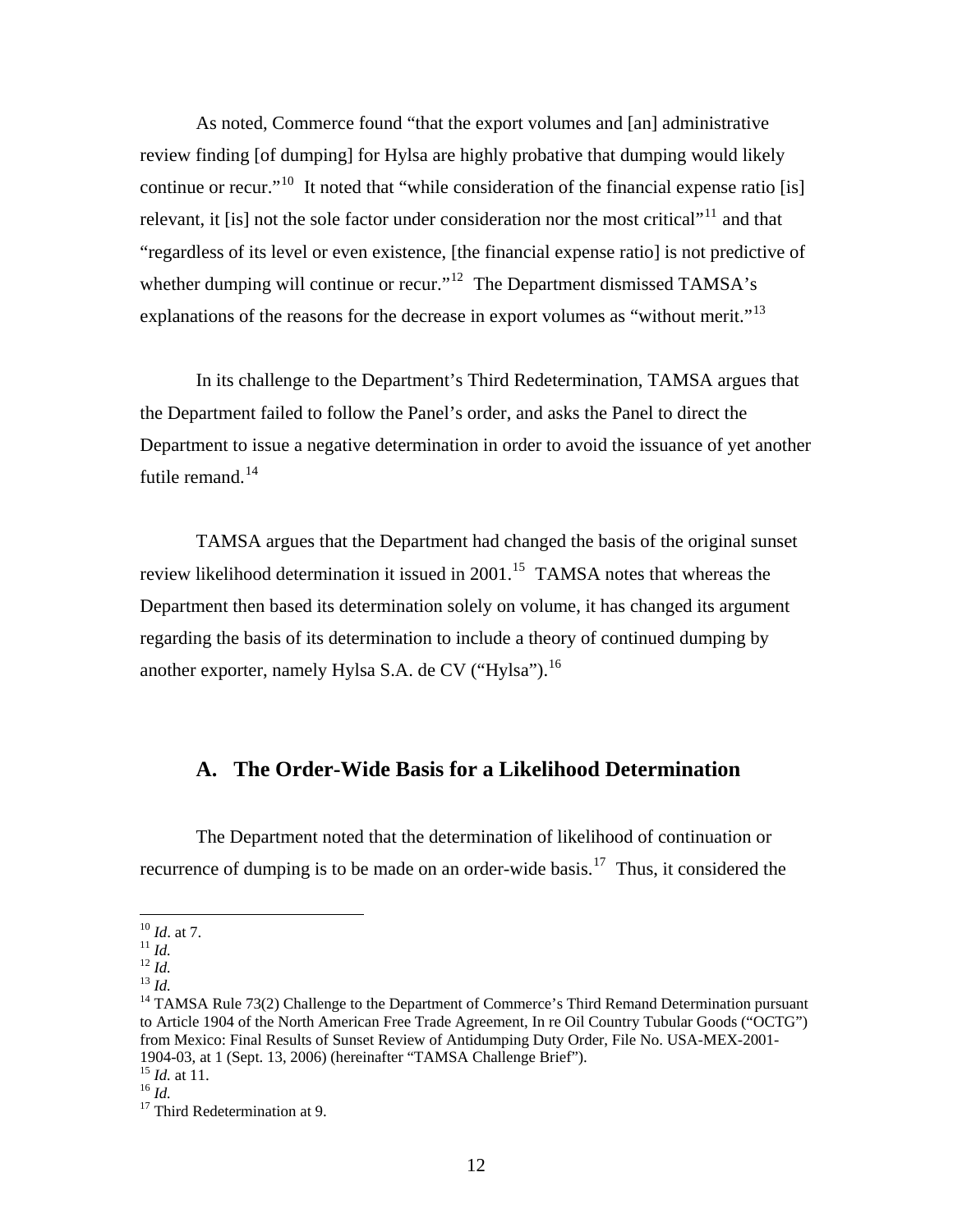As noted, Commerce found "that the export volumes and [an] administrative review finding [of dumping] for Hylsa are highly probative that dumping would likely continue or recur."<sup>[10](#page-11-0)</sup> It noted that "while consideration of the financial expense ratio [is] relevant, it [is] not the sole factor under consideration nor the most critical"<sup>[11](#page-11-1)</sup> and that "regardless of its level or even existence, [the financial expense ratio] is not predictive of whether dumping will continue or recur."<sup>[12](#page-11-2)</sup> The Department dismissed TAMSA's explanations of the reasons for the decrease in export volumes as "without merit."<sup>[13](#page-11-3)</sup>

In its challenge to the Department's Third Redetermination, TAMSA argues that the Department failed to follow the Panel's order, and asks the Panel to direct the Department to issue a negative determination in order to avoid the issuance of yet another futile remand. $^{14}$  $^{14}$  $^{14}$ 

TAMSA argues that the Department had changed the basis of the original sunset review likelihood determination it issued in  $2001$ .<sup>15</sup> TAMSA notes that whereas the Department then based its determination solely on volume, it has changed its argument regarding the basis of its determination to include a theory of continued dumping by another exporter, namely Hylsa S.A. de CV ("Hylsa").<sup>[16](#page-11-6)</sup>

# **A. The Order-Wide Basis for a Likelihood Determination**

The Department noted that the determination of likelihood of continuation or recurrence of dumping is to be made on an order-wide basis.<sup>[17](#page-11-7)</sup> Thus, it considered the

<span id="page-11-2"></span>

<span id="page-11-4"></span><span id="page-11-3"></span>

<span id="page-11-1"></span><span id="page-11-0"></span><sup>&</sup>lt;sup>10</sup> *Id.* at 7.<br><sup>11</sup> *Id.*<br><sup>12</sup> *Id.*<br><sup>13</sup> *Id.* <sup>13</sup> *Id.* 13 *Id.* 14 TAMSA Rule 73(2) Challenge to the Department of Commerce's Third Remand Determination pursuant to Article 1904 of the North American Free Trade Agreement, In re Oil Country Tubular Goods ("OCTG") from Mexico: Final Results of Sunset Review of Antidumping Duty Order, File No. USA-MEX-2001- 1904-03, at 1 (Sept. 13, 2006) (hereinafter "TAMSA Challenge Brief").<br><sup>15</sup> *Id.* at 11.<br><sup>16</sup> *Id.* 17 Third Redetermination at 9.

<span id="page-11-6"></span><span id="page-11-5"></span>

<span id="page-11-7"></span>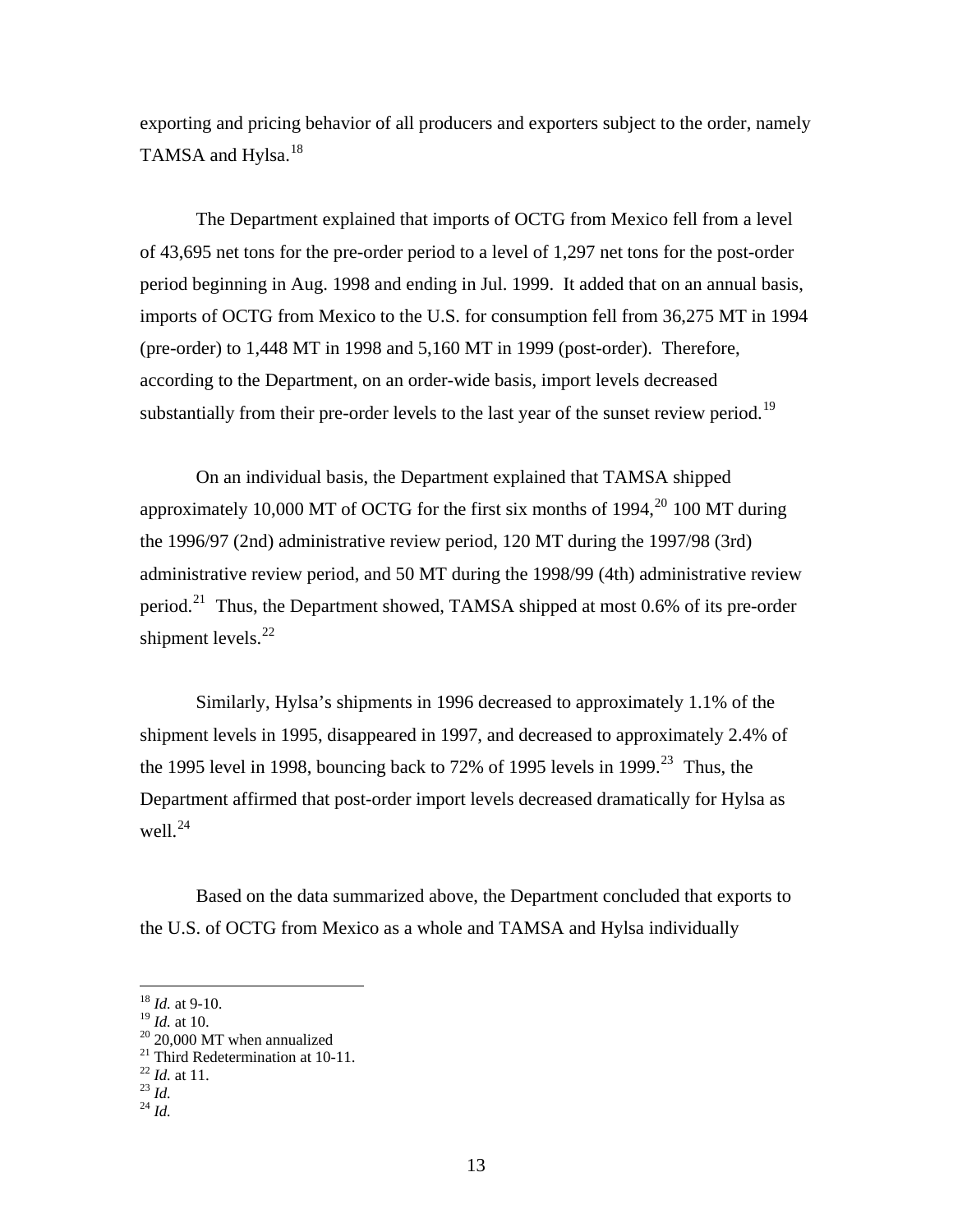exporting and pricing behavior of all producers and exporters subject to the order, namely TAMSA and Hylsa. $^{18}$  $^{18}$  $^{18}$ 

 The Department explained that imports of OCTG from Mexico fell from a level of 43,695 net tons for the pre-order period to a level of 1,297 net tons for the post-order period beginning in Aug. 1998 and ending in Jul. 1999. It added that on an annual basis, imports of OCTG from Mexico to the U.S. for consumption fell from 36,275 MT in 1994 (pre-order) to 1,448 MT in 1998 and 5,160 MT in 1999 (post-order). Therefore, according to the Department, on an order-wide basis, import levels decreased substantially from their pre-order levels to the last year of the sunset review period.<sup>[19](#page-12-1)</sup>

 On an individual basis, the Department explained that TAMSA shipped approximately 10,000 MT of OCTG for the first six months of  $1994$ ,<sup>[20](#page-12-2)</sup> 100 MT during the 1996/97 (2nd) administrative review period, 120 MT during the 1997/98 (3rd) administrative review period, and 50 MT during the 1998/99 (4th) administrative review period.[21](#page-12-3) Thus, the Department showed, TAMSA shipped at most 0.6% of its pre-order shipment levels. $^{22}$  $^{22}$  $^{22}$ 

 Similarly, Hylsa's shipments in 1996 decreased to approximately 1.1% of the shipment levels in 1995, disappeared in 1997, and decreased to approximately 2.4% of the 1995 level in 1998, bouncing back to 72% of 1995 levels in 1999.<sup>[23](#page-12-5)</sup> Thus, the Department affirmed that post-order import levels decreased dramatically for Hylsa as well. $^{24}$  $^{24}$  $^{24}$ 

 Based on the data summarized above, the Department concluded that exports to the U.S. of OCTG from Mexico as a whole and TAMSA and Hylsa individually

<sup>18</sup> *Id.* at 9-10.

<span id="page-12-1"></span><span id="page-12-0"></span> $^{19}$  *Id.* at 10.<br><sup>20</sup> 20,000 MT when annualized

<span id="page-12-3"></span><span id="page-12-2"></span><sup>21</sup> Third Redetermination at 10-11. 22 *Id.* at 11. 23 *Id.* <sup>24</sup> *Id.*

<span id="page-12-5"></span><span id="page-12-4"></span>

<span id="page-12-6"></span>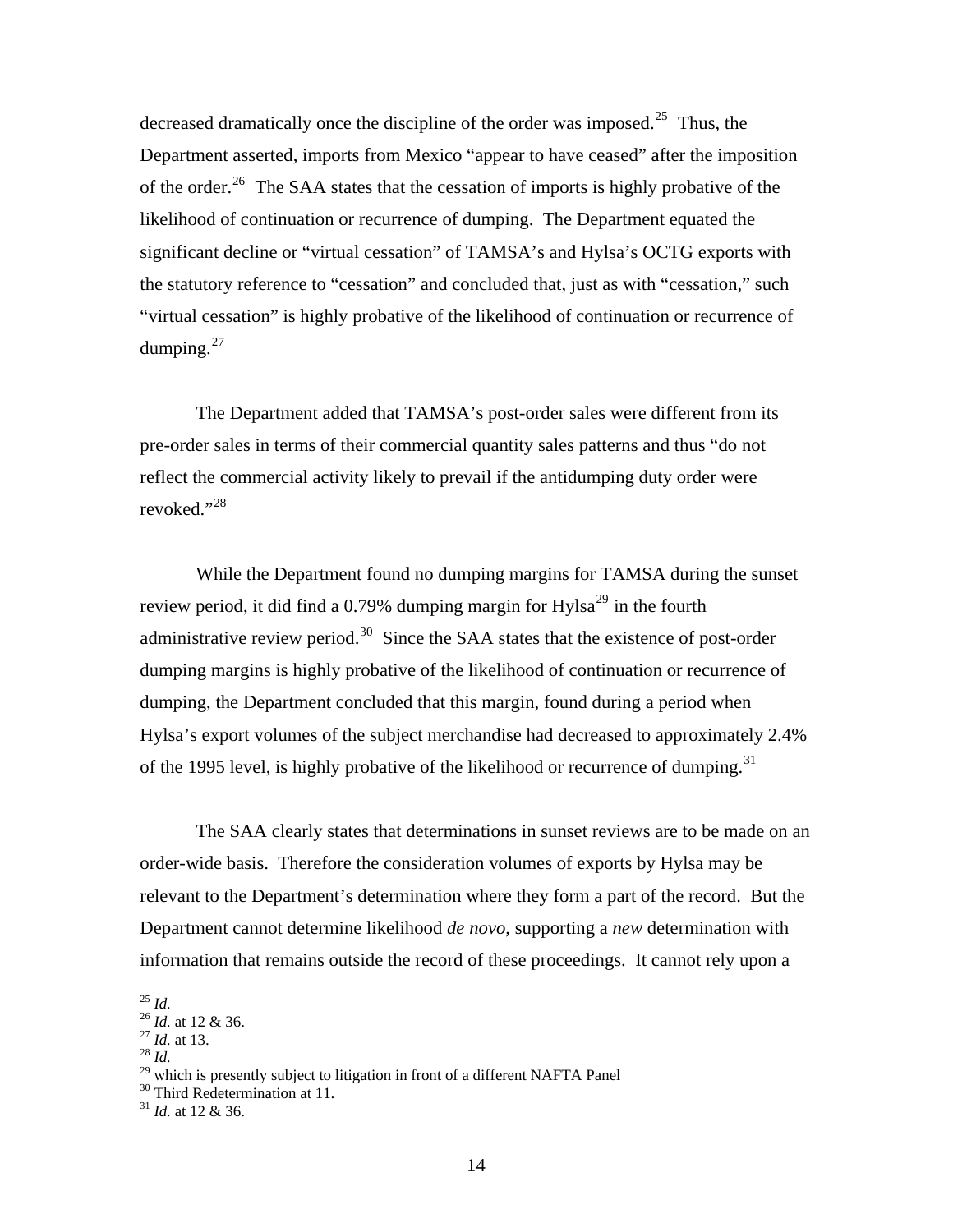decreased dramatically once the discipline of the order was imposed.<sup>[25](#page-13-0)</sup> Thus, the Department asserted, imports from Mexico "appear to have ceased" after the imposition of the order.<sup>[26](#page-13-1)</sup> The SAA states that the cessation of imports is highly probative of the likelihood of continuation or recurrence of dumping. The Department equated the significant decline or "virtual cessation" of TAMSA's and Hylsa's OCTG exports with the statutory reference to "cessation" and concluded that, just as with "cessation," such "virtual cessation" is highly probative of the likelihood of continuation or recurrence of dumping. $27$ 

 The Department added that TAMSA's post-order sales were different from its pre-order sales in terms of their commercial quantity sales patterns and thus "do not reflect the commercial activity likely to prevail if the antidumping duty order were revoked."[28](#page-13-3)

 While the Department found no dumping margins for TAMSA during the sunset review period, it did find a 0.79% dumping margin for  $Hylsa<sup>29</sup>$  $Hylsa<sup>29</sup>$  $Hylsa<sup>29</sup>$  in the fourth administrative review period.<sup>[30](#page-13-5)</sup> Since the SAA states that the existence of post-order dumping margins is highly probative of the likelihood of continuation or recurrence of dumping, the Department concluded that this margin, found during a period when Hylsa's export volumes of the subject merchandise had decreased to approximately 2.4% of the 1995 level, is highly probative of the likelihood or recurrence of dumping.<sup>[31](#page-13-6)</sup>

The SAA clearly states that determinations in sunset reviews are to be made on an order-wide basis. Therefore the consideration volumes of exports by Hylsa may be relevant to the Department's determination where they form a part of the record. But the Department cannot determine likelihood *de novo*, supporting a *new* determination with information that remains outside the record of these proceedings. It cannot rely upon a

 $^{25}$  Id.

<span id="page-13-1"></span><span id="page-13-0"></span><sup>25</sup> *Id.* <sup>26</sup> *Id.* at 12 & 36. 27 *Id.* at 13. 28 *Id.*

<span id="page-13-2"></span>

<span id="page-13-5"></span><span id="page-13-4"></span><span id="page-13-3"></span><sup>&</sup>lt;sup>29</sup> which is presently subject to litigation in front of a different NAFTA Panel <sup>30</sup> Third Redetermination at 11.

<span id="page-13-6"></span><sup>31</sup> *Id.* at 12 & 36.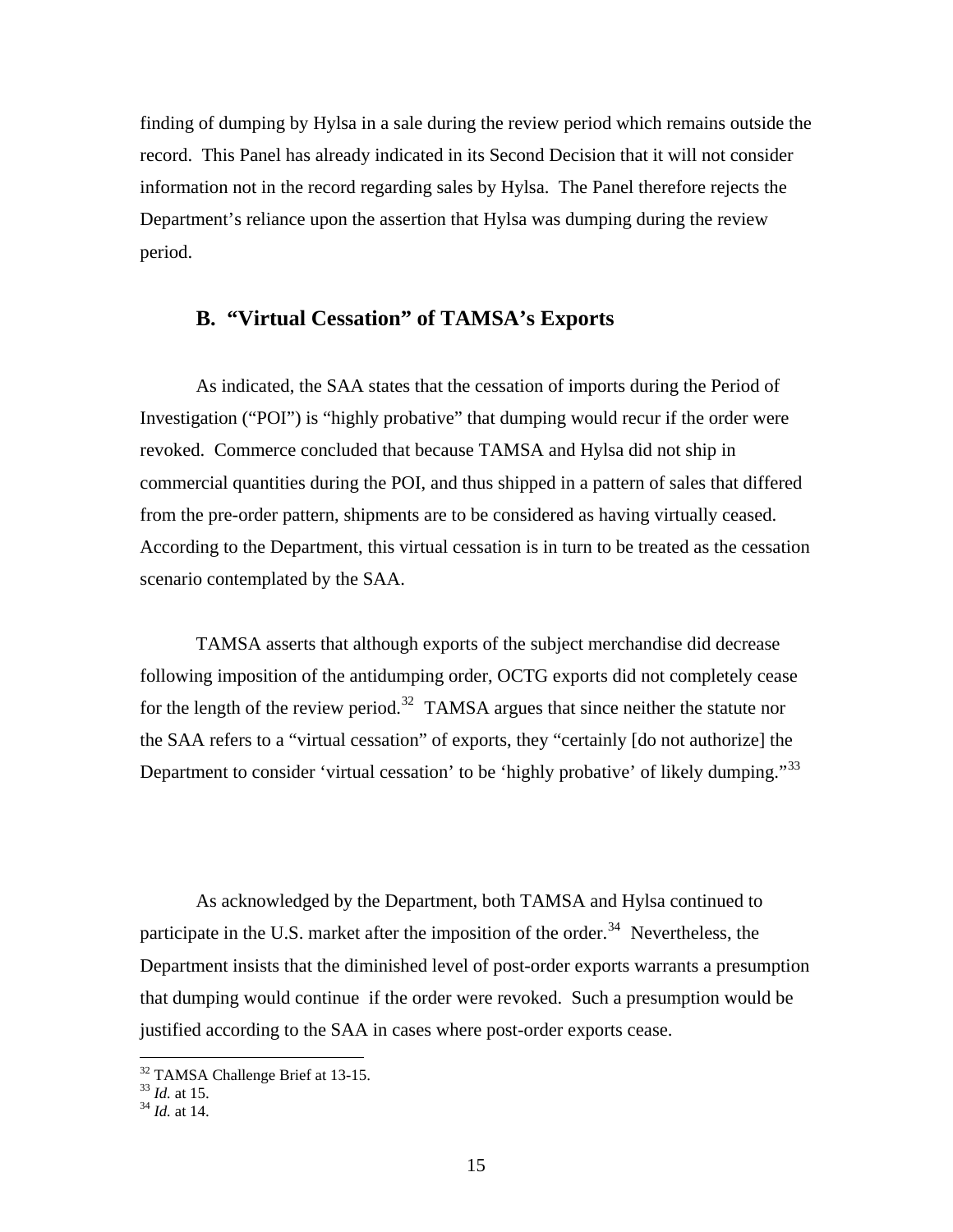finding of dumping by Hylsa in a sale during the review period which remains outside the record. This Panel has already indicated in its Second Decision that it will not consider information not in the record regarding sales by Hylsa. The Panel therefore rejects the Department's reliance upon the assertion that Hylsa was dumping during the review period.

### **B. "Virtual Cessation" of TAMSA's Exports**

As indicated, the SAA states that the cessation of imports during the Period of Investigation ("POI") is "highly probative" that dumping would recur if the order were revoked. Commerce concluded that because TAMSA and Hylsa did not ship in commercial quantities during the POI, and thus shipped in a pattern of sales that differed from the pre-order pattern, shipments are to be considered as having virtually ceased. According to the Department, this virtual cessation is in turn to be treated as the cessation scenario contemplated by the SAA.

TAMSA asserts that although exports of the subject merchandise did decrease following imposition of the antidumping order, OCTG exports did not completely cease for the length of the review period.<sup>[32](#page-14-0)</sup> TAMSA argues that since neither the statute nor the SAA refers to a "virtual cessation" of exports, they "certainly [do not authorize] the Department to consider 'virtual cessation' to be 'highly probative' of likely dumping."<sup>[33](#page-14-1)</sup>

As acknowledged by the Department, both TAMSA and Hylsa continued to participate in the U.S. market after the imposition of the order.<sup>[34](#page-14-2)</sup> Nevertheless, the Department insists that the diminished level of post-order exports warrants a presumption that dumping would continue if the order were revoked. Such a presumption would be justified according to the SAA in cases where post-order exports cease.

<sup>&</sup>lt;sup>32</sup> TAMSA Challenge Brief at 13-15.

<span id="page-14-2"></span><span id="page-14-1"></span><span id="page-14-0"></span><sup>33</sup> *Id.* at 15. 34 *Id.* at 14.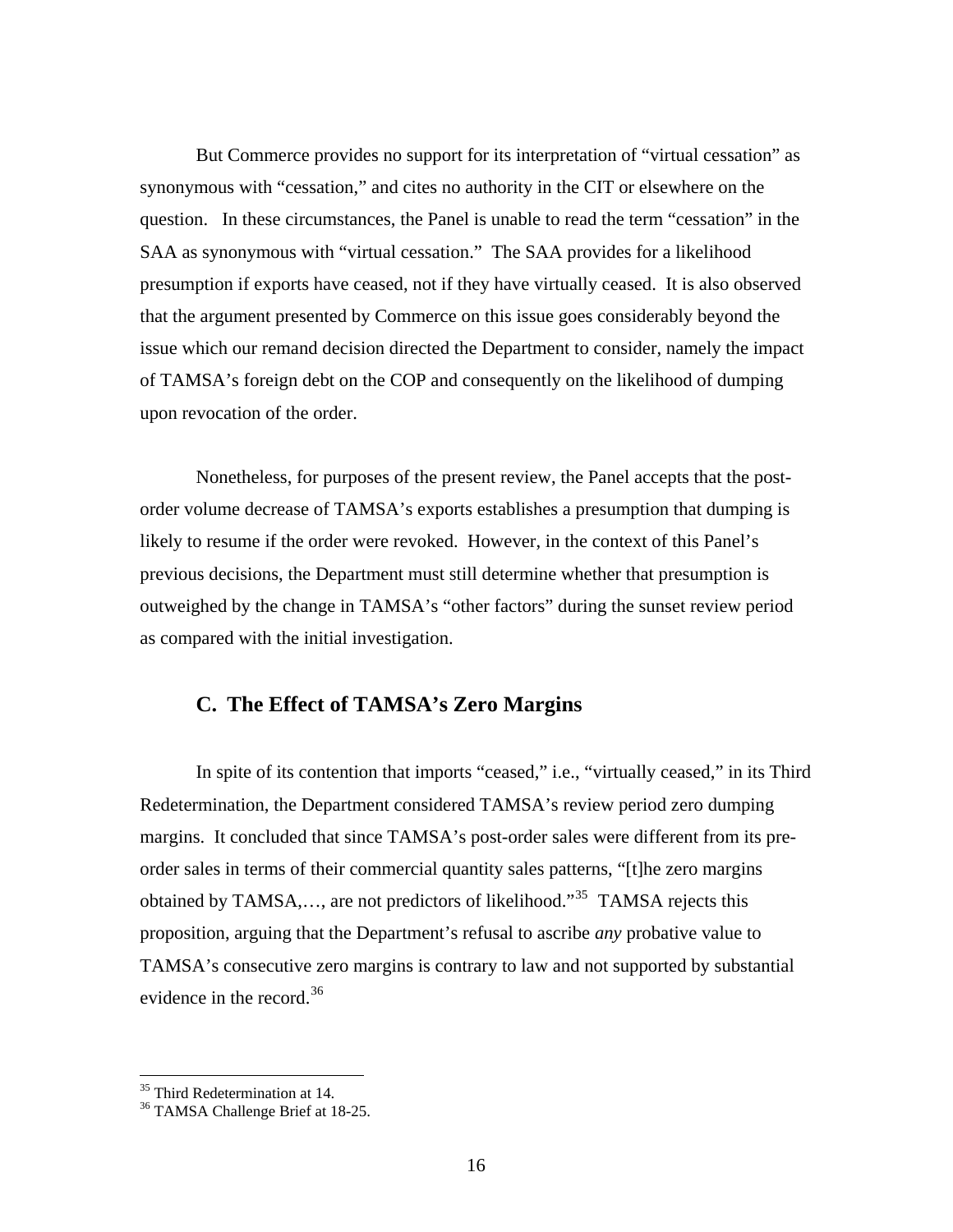But Commerce provides no support for its interpretation of "virtual cessation" as synonymous with "cessation," and cites no authority in the CIT or elsewhere on the question. In these circumstances, the Panel is unable to read the term "cessation" in the SAA as synonymous with "virtual cessation." The SAA provides for a likelihood presumption if exports have ceased, not if they have virtually ceased. It is also observed that the argument presented by Commerce on this issue goes considerably beyond the issue which our remand decision directed the Department to consider, namely the impact of TAMSA's foreign debt on the COP and consequently on the likelihood of dumping upon revocation of the order.

 Nonetheless, for purposes of the present review, the Panel accepts that the postorder volume decrease of TAMSA's exports establishes a presumption that dumping is likely to resume if the order were revoked. However, in the context of this Panel's previous decisions, the Department must still determine whether that presumption is outweighed by the change in TAMSA's "other factors" during the sunset review period as compared with the initial investigation.

#### **C. The Effect of TAMSA's Zero Margins**

 In spite of its contention that imports "ceased," i.e., "virtually ceased," in its Third Redetermination, the Department considered TAMSA's review period zero dumping margins. It concluded that since TAMSA's post-order sales were different from its preorder sales in terms of their commercial quantity sales patterns, "[t]he zero margins obtained by TAMSA,..., are not predictors of likelihood."<sup>[35](#page-15-0)</sup> TAMSA rejects this proposition, arguing that the Department's refusal to ascribe *any* probative value to TAMSA's consecutive zero margins is contrary to law and not supported by substantial evidence in the record.  $36$ 

<span id="page-15-0"></span><sup>&</sup>lt;sup>35</sup> Third Redetermination at 14.

<span id="page-15-1"></span><sup>&</sup>lt;sup>36</sup> TAMSA Challenge Brief at 18-25.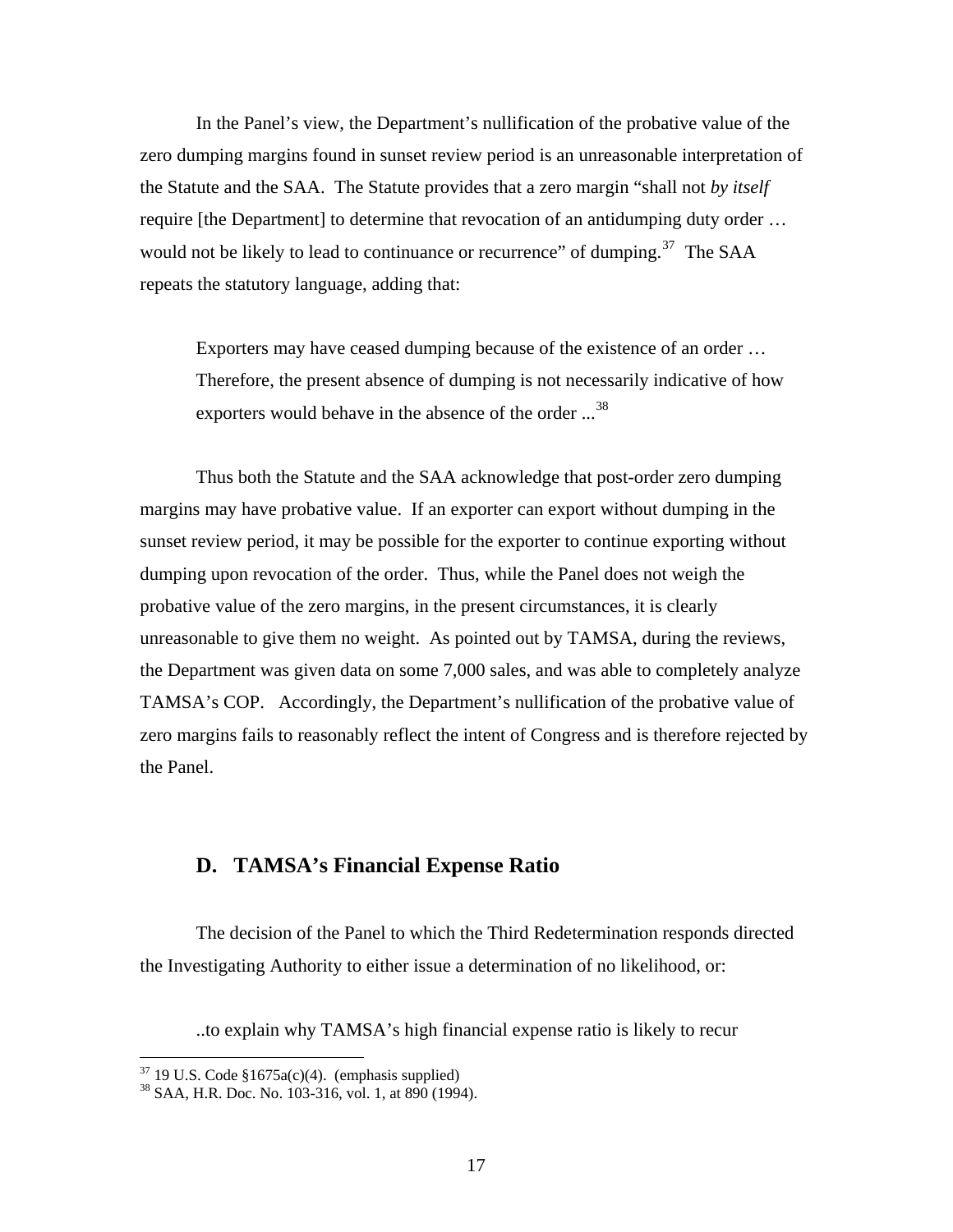In the Panel's view, the Department's nullification of the probative value of the zero dumping margins found in sunset review period is an unreasonable interpretation of the Statute and the SAA. The Statute provides that a zero margin "shall not *by itself* require [the Department] to determine that revocation of an antidumping duty order … would not be likely to lead to continuance or recurrence" of dumping.<sup>[37](#page-16-0)</sup> The SAA repeats the statutory language, adding that:

Exporters may have ceased dumping because of the existence of an order … Therefore, the present absence of dumping is not necessarily indicative of how exporters would behave in the absence of the order ...<sup>[38](#page-16-1)</sup>

 Thus both the Statute and the SAA acknowledge that post-order zero dumping margins may have probative value. If an exporter can export without dumping in the sunset review period, it may be possible for the exporter to continue exporting without dumping upon revocation of the order. Thus, while the Panel does not weigh the probative value of the zero margins, in the present circumstances, it is clearly unreasonable to give them no weight. As pointed out by TAMSA, during the reviews, the Department was given data on some 7,000 sales, and was able to completely analyze TAMSA's COP. Accordingly, the Department's nullification of the probative value of zero margins fails to reasonably reflect the intent of Congress and is therefore rejected by the Panel.

# **D. TAMSA's Financial Expense Ratio**

 The decision of the Panel to which the Third Redetermination responds directed the Investigating Authority to either issue a determination of no likelihood, or:

..to explain why TAMSA's high financial expense ratio is likely to recur

<span id="page-16-0"></span> $37$  19 U.S. Code §1675a(c)(4). (emphasis supplied)

<span id="page-16-1"></span> $38$  SAA, H.R. Doc. No. 103-316, vol. 1, at 890 (1994).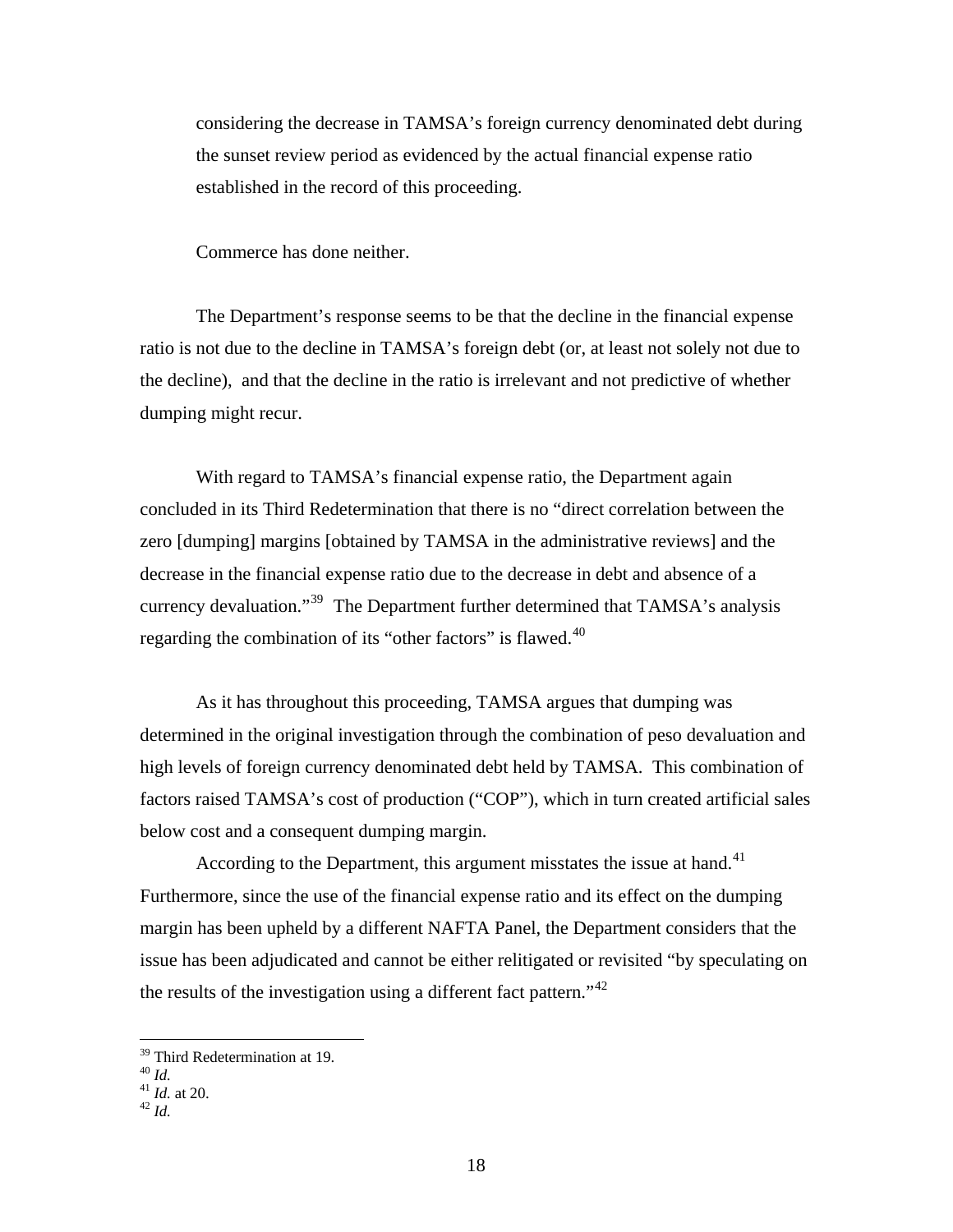considering the decrease in TAMSA's foreign currency denominated debt during the sunset review period as evidenced by the actual financial expense ratio established in the record of this proceeding.

Commerce has done neither.

 The Department's response seems to be that the decline in the financial expense ratio is not due to the decline in TAMSA's foreign debt (or, at least not solely not due to the decline), and that the decline in the ratio is irrelevant and not predictive of whether dumping might recur.

With regard to TAMSA's financial expense ratio, the Department again concluded in its Third Redetermination that there is no "direct correlation between the zero [dumping] margins [obtained by TAMSA in the administrative reviews] and the decrease in the financial expense ratio due to the decrease in debt and absence of a currency devaluation."<sup>[39](#page-17-0)</sup> The Department further determined that TAMSA's analysis regarding the combination of its "other factors" is flawed.<sup>[40](#page-17-1)</sup>

 As it has throughout this proceeding, TAMSA argues that dumping was determined in the original investigation through the combination of peso devaluation and high levels of foreign currency denominated debt held by TAMSA. This combination of factors raised TAMSA's cost of production ("COP"), which in turn created artificial sales below cost and a consequent dumping margin.

According to the Department, this argument misstates the issue at hand. $41$ Furthermore, since the use of the financial expense ratio and its effect on the dumping margin has been upheld by a different NAFTA Panel, the Department considers that the issue has been adjudicated and cannot be either relitigated or revisited "by speculating on the results of the investigation using a different fact pattern."<sup>[42](#page-17-3)</sup>

<sup>&</sup>lt;sup>39</sup> Third Redetermination at 19.

<span id="page-17-2"></span>

<span id="page-17-1"></span><span id="page-17-0"></span><sup>40</sup> *Id.* <sup>41</sup> *Id.* at 20. 42 *Id.*

<span id="page-17-3"></span>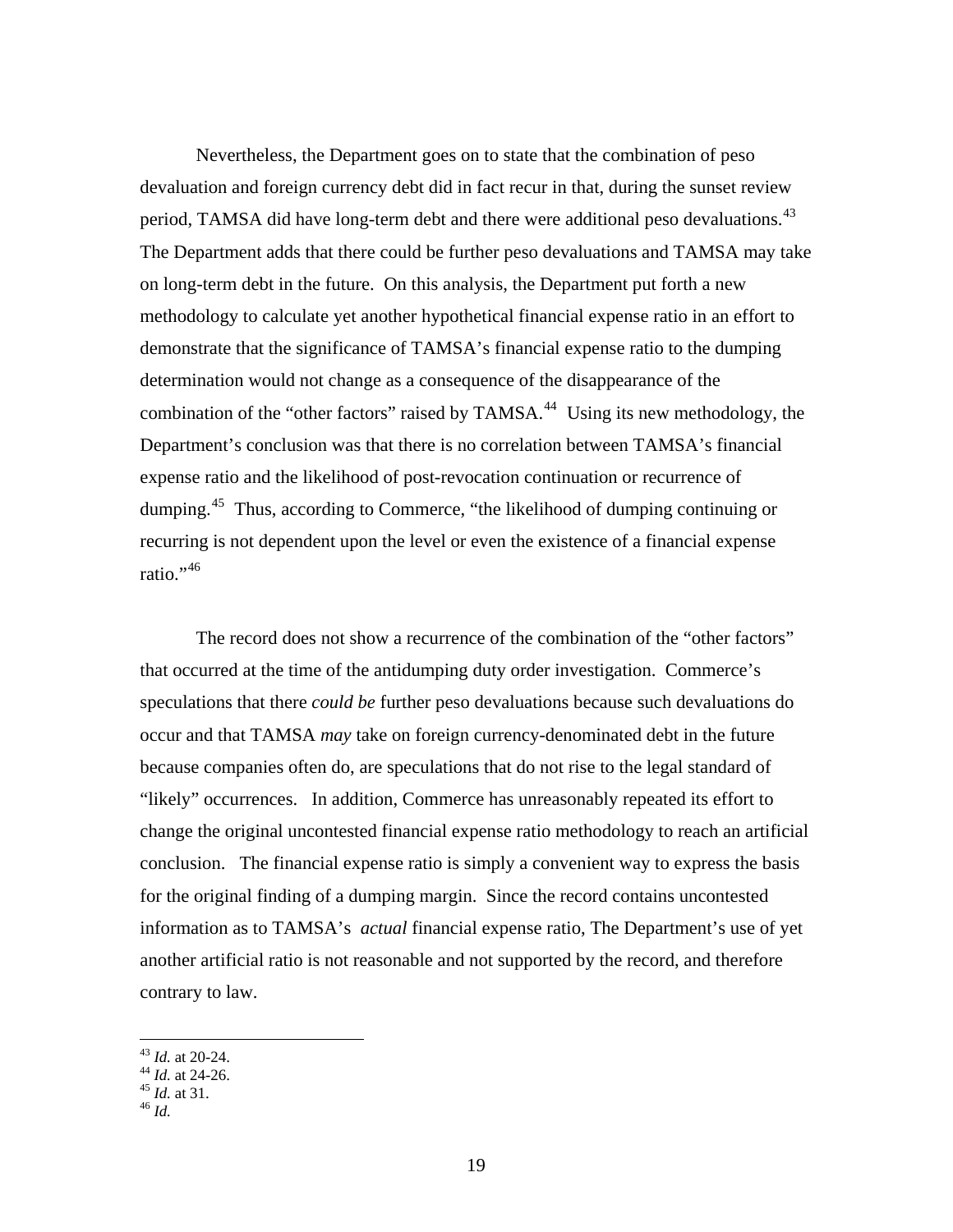Nevertheless, the Department goes on to state that the combination of peso devaluation and foreign currency debt did in fact recur in that, during the sunset review period, TAMSA did have long-term debt and there were additional peso devaluations.<sup>[43](#page-18-0)</sup> The Department adds that there could be further peso devaluations and TAMSA may take on long-term debt in the future. On this analysis, the Department put forth a new methodology to calculate yet another hypothetical financial expense ratio in an effort to demonstrate that the significance of TAMSA's financial expense ratio to the dumping determination would not change as a consequence of the disappearance of the combination of the "other factors" raised by TAMSA.<sup>[44](#page-18-1)</sup> Using its new methodology, the Department's conclusion was that there is no correlation between TAMSA's financial expense ratio and the likelihood of post-revocation continuation or recurrence of dumping.[45](#page-18-2) Thus, according to Commerce, "the likelihood of dumping continuing or recurring is not dependent upon the level or even the existence of a financial expense ratio."<sup>[46](#page-18-3)</sup>

 The record does not show a recurrence of the combination of the "other factors" that occurred at the time of the antidumping duty order investigation. Commerce's speculations that there *could be* further peso devaluations because such devaluations do occur and that TAMSA *may* take on foreign currency-denominated debt in the future because companies often do, are speculations that do not rise to the legal standard of "likely" occurrences. In addition, Commerce has unreasonably repeated its effort to change the original uncontested financial expense ratio methodology to reach an artificial conclusion. The financial expense ratio is simply a convenient way to express the basis for the original finding of a dumping margin. Since the record contains uncontested information as to TAMSA's *actual* financial expense ratio, The Department's use of yet another artificial ratio is not reasonable and not supported by the record, and therefore contrary to law.

 $43$  *Id.* at 20-24.

<span id="page-18-2"></span><span id="page-18-1"></span><span id="page-18-0"></span><sup>44</sup> *Id.* at 24-26.<br><sup>45</sup> *Id.* at 31.<br><sup>46</sup> *Id.* 

<span id="page-18-3"></span>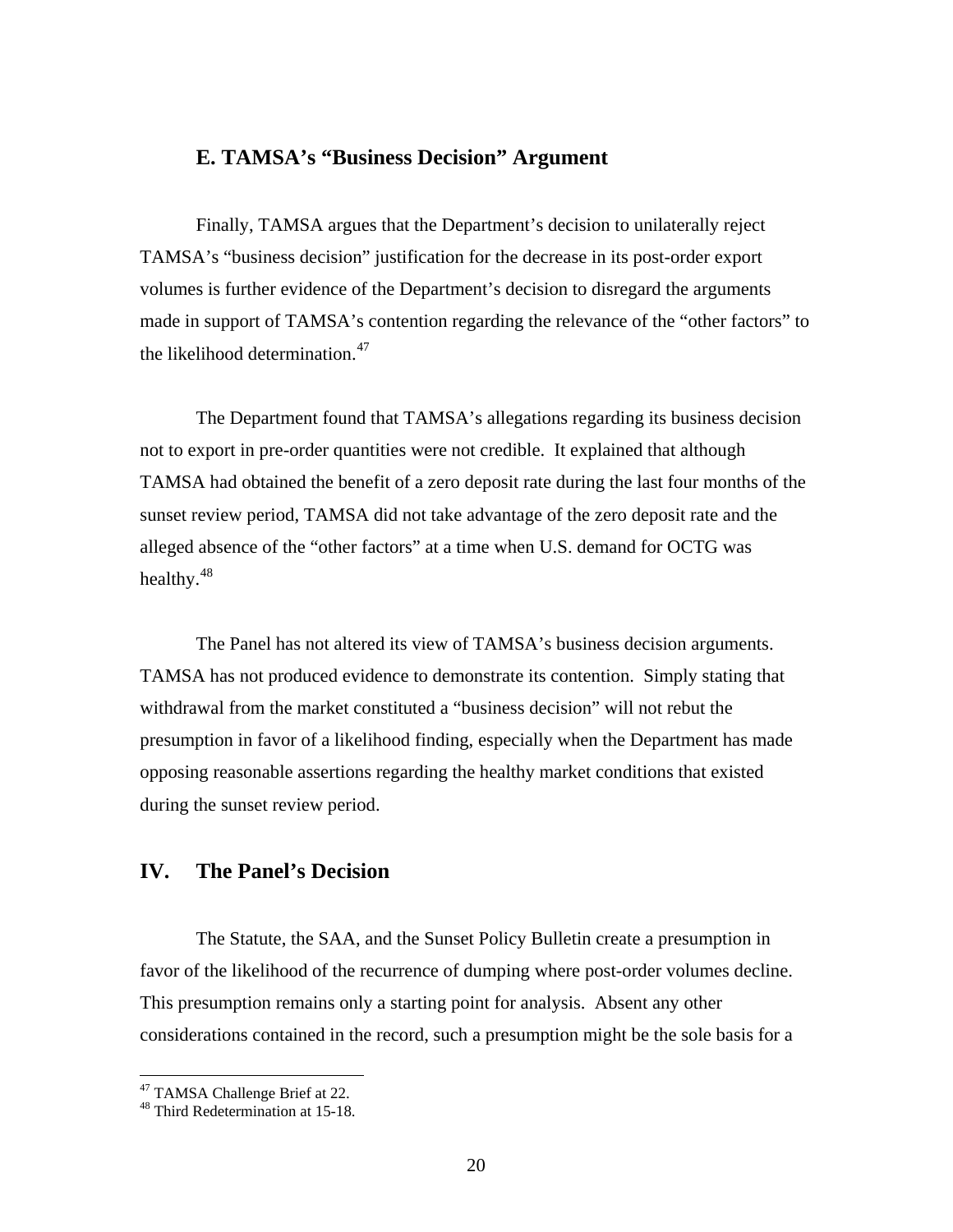# **E. TAMSA's "Business Decision" Argument**

 Finally, TAMSA argues that the Department's decision to unilaterally reject TAMSA's "business decision" justification for the decrease in its post-order export volumes is further evidence of the Department's decision to disregard the arguments made in support of TAMSA's contention regarding the relevance of the "other factors" to the likelihood determination. $47$ 

 The Department found that TAMSA's allegations regarding its business decision not to export in pre-order quantities were not credible. It explained that although TAMSA had obtained the benefit of a zero deposit rate during the last four months of the sunset review period, TAMSA did not take advantage of the zero deposit rate and the alleged absence of the "other factors" at a time when U.S. demand for OCTG was healthy.[48](#page-19-1)

The Panel has not altered its view of TAMSA's business decision arguments. TAMSA has not produced evidence to demonstrate its contention. Simply stating that withdrawal from the market constituted a "business decision" will not rebut the presumption in favor of a likelihood finding, especially when the Department has made opposing reasonable assertions regarding the healthy market conditions that existed during the sunset review period.

# **IV. The Panel's Decision**

 The Statute, the SAA, and the Sunset Policy Bulletin create a presumption in favor of the likelihood of the recurrence of dumping where post-order volumes decline. This presumption remains only a starting point for analysis. Absent any other considerations contained in the record, such a presumption might be the sole basis for a

<span id="page-19-0"></span><sup>&</sup>lt;sup>47</sup> TAMSA Challenge Brief at 22.

<span id="page-19-1"></span><sup>48</sup> Third Redetermination at 15-18.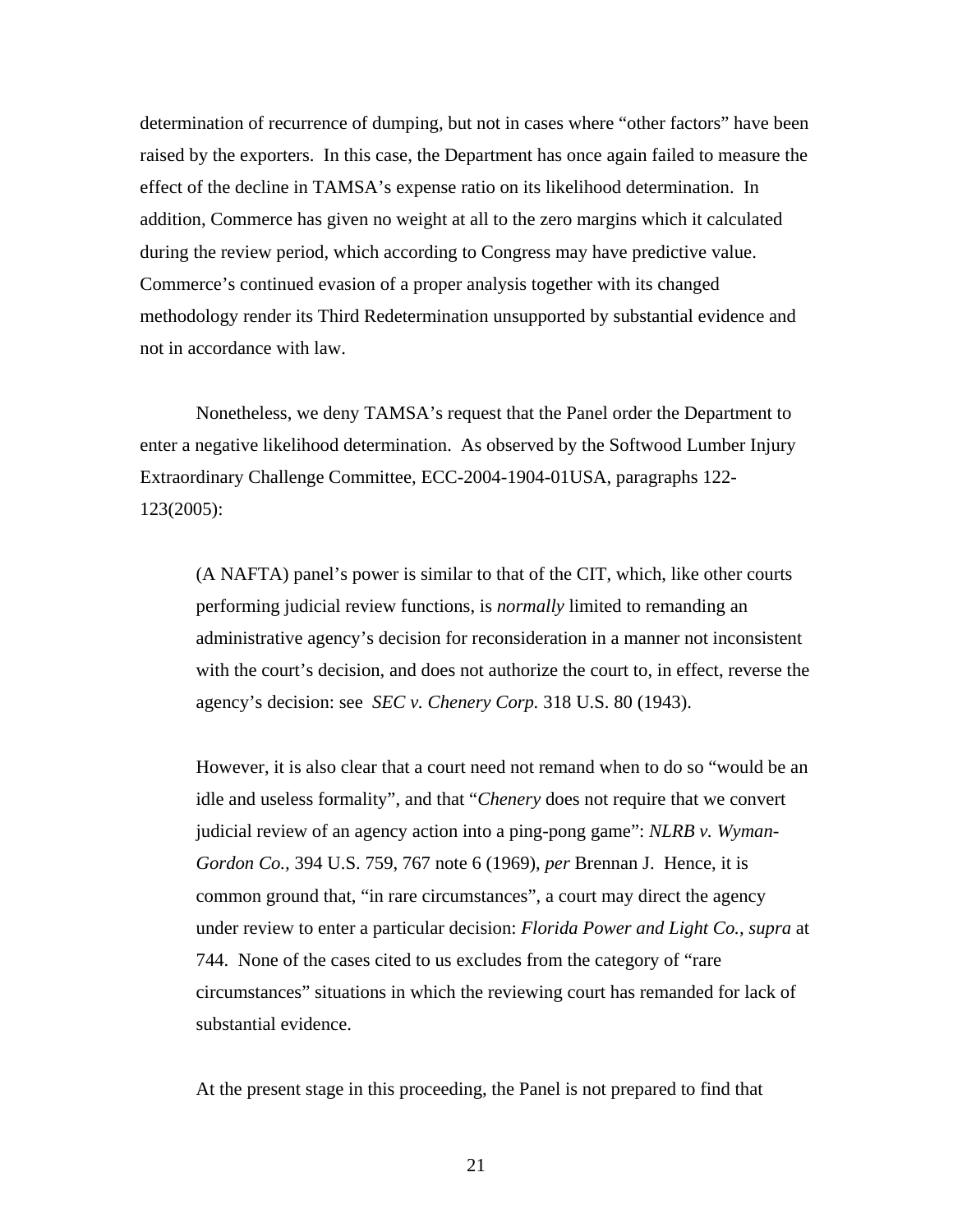determination of recurrence of dumping, but not in cases where "other factors" have been raised by the exporters.In this case, the Department has once again failed to measure the effect of the decline in TAMSA's expense ratio on its likelihood determination. In addition, Commerce has given no weight at all to the zero margins which it calculated during the review period, which according to Congress may have predictive value. Commerce's continued evasion of a proper analysis together with its changed methodology render its Third Redetermination unsupported by substantial evidence and not in accordance with law.

 Nonetheless, we deny TAMSA's request that the Panel order the Department to enter a negative likelihood determination. As observed by the Softwood Lumber Injury Extraordinary Challenge Committee, ECC-2004-1904-01USA, paragraphs 122- 123(2005):

 (A NAFTA) panel's power is similar to that of the CIT, which, like other courts performing judicial review functions, is *normally* limited to remanding an administrative agency's decision for reconsideration in a manner not inconsistent with the court's decision, and does not authorize the court to, in effect, reverse the agency's decision: see *SEC v. Chenery Corp.* 318 U.S. 80 (1943).

 However, it is also clear that a court need not remand when to do so "would be an idle and useless formality", and that "*Chenery* does not require that we convert judicial review of an agency action into a ping-pong game": *NLRB v. Wyman- Gordon Co.,* 394 U.S. 759, 767 note 6 (1969), *per* Brennan J. Hence, it is common ground that, "in rare circumstances", a court may direct the agency under review to enter a particular decision: *Florida Power and Light Co., supra* at 744. None of the cases cited to us excludes from the category of "rare circumstances" situations in which the reviewing court has remanded for lack of substantial evidence.

At the present stage in this proceeding, the Panel is not prepared to find that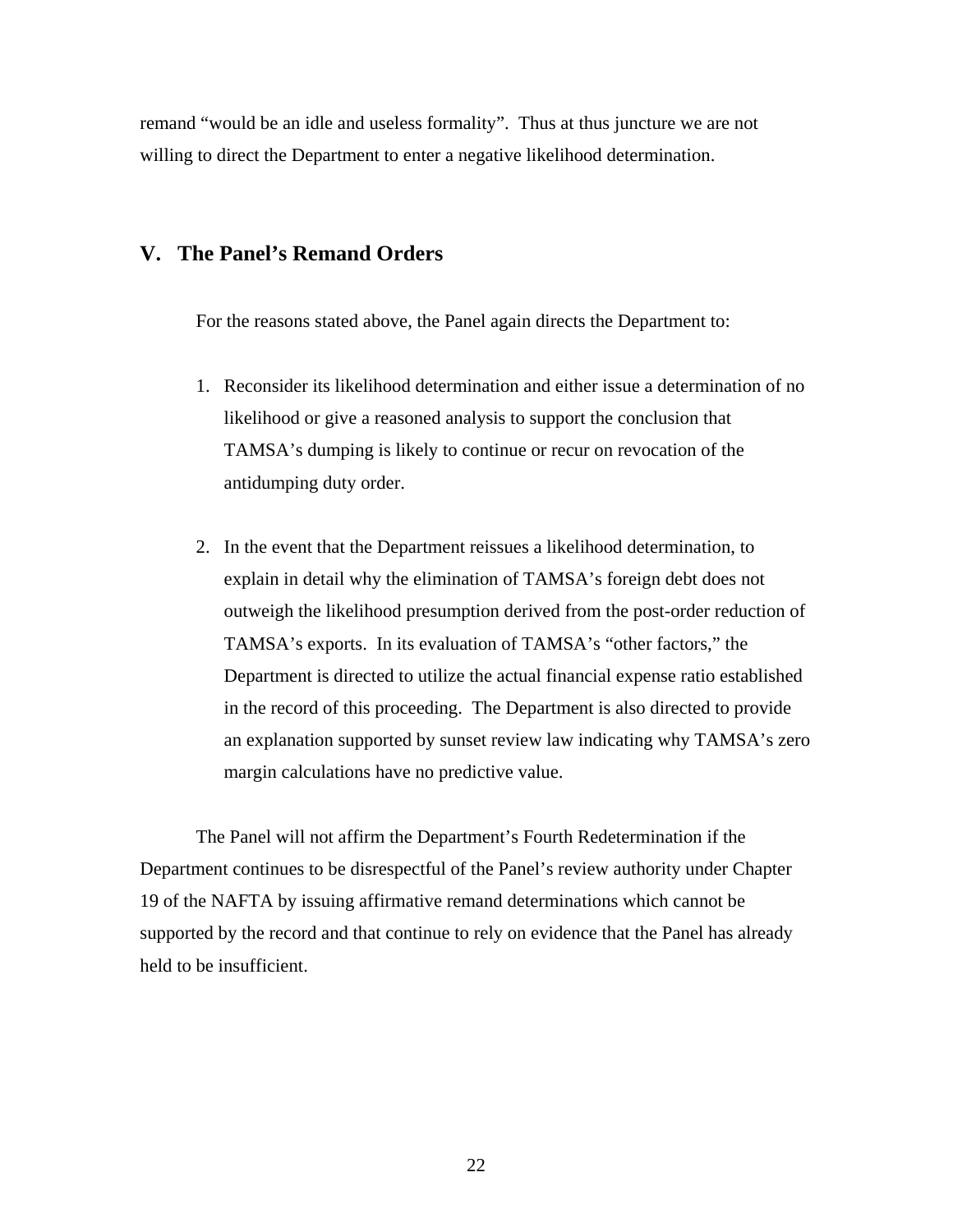remand "would be an idle and useless formality". Thus at thus juncture we are not willing to direct the Department to enter a negative likelihood determination.

### **V. The Panel's Remand Orders**

For the reasons stated above, the Panel again directs the Department to:

- 1. Reconsider its likelihood determination and either issue a determination of no likelihood or give a reasoned analysis to support the conclusion that TAMSA's dumping is likely to continue or recur on revocation of the antidumping duty order.
- 2. In the event that the Department reissues a likelihood determination, to explain in detail why the elimination of TAMSA's foreign debt does not outweigh the likelihood presumption derived from the post-order reduction of TAMSA's exports. In its evaluation of TAMSA's "other factors," the Department is directed to utilize the actual financial expense ratio established in the record of this proceeding. The Department is also directed to provide an explanation supported by sunset review law indicating why TAMSA's zero margin calculations have no predictive value.

 The Panel will not affirm the Department's Fourth Redetermination if the Department continues to be disrespectful of the Panel's review authority under Chapter 19 of the NAFTA by issuing affirmative remand determinations which cannot be supported by the record and that continue to rely on evidence that the Panel has already held to be insufficient.